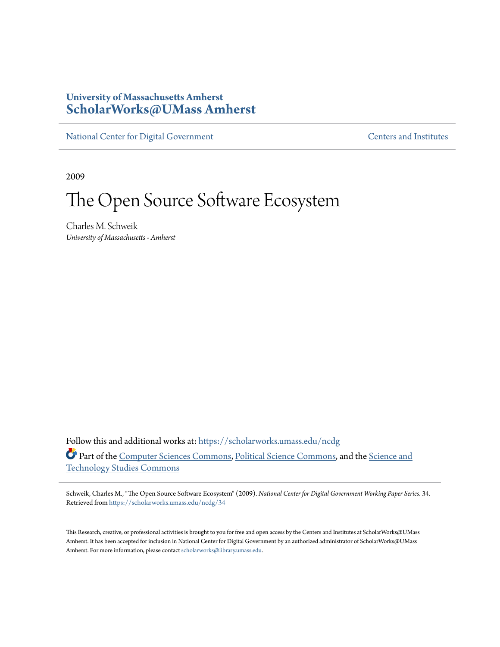# **University of Massachusetts Amherst [ScholarWorks@UMass Amherst](https://scholarworks.umass.edu?utm_source=scholarworks.umass.edu%2Fncdg%2F34&utm_medium=PDF&utm_campaign=PDFCoverPages)**

[National Center for Digital Government](https://scholarworks.umass.edu/ncdg?utm_source=scholarworks.umass.edu%2Fncdg%2F34&utm_medium=PDF&utm_campaign=PDFCoverPages) [Centers and Institutes](https://scholarworks.umass.edu/centers?utm_source=scholarworks.umass.edu%2Fncdg%2F34&utm_medium=PDF&utm_campaign=PDFCoverPages)

2009

# The Open Source Software Ecosystem

Charles M. Schweik *University of Massachusetts - Amherst*

Follow this and additional works at: [https://scholarworks.umass.edu/ncdg](https://scholarworks.umass.edu/ncdg?utm_source=scholarworks.umass.edu%2Fncdg%2F34&utm_medium=PDF&utm_campaign=PDFCoverPages) Part of the [Computer Sciences Commons](http://network.bepress.com/hgg/discipline/142?utm_source=scholarworks.umass.edu%2Fncdg%2F34&utm_medium=PDF&utm_campaign=PDFCoverPages), [Political Science Commons](http://network.bepress.com/hgg/discipline/386?utm_source=scholarworks.umass.edu%2Fncdg%2F34&utm_medium=PDF&utm_campaign=PDFCoverPages), and the [Science and](http://network.bepress.com/hgg/discipline/435?utm_source=scholarworks.umass.edu%2Fncdg%2F34&utm_medium=PDF&utm_campaign=PDFCoverPages) [Technology Studies Commons](http://network.bepress.com/hgg/discipline/435?utm_source=scholarworks.umass.edu%2Fncdg%2F34&utm_medium=PDF&utm_campaign=PDFCoverPages)

Schweik, Charles M., "The Open Source Software Ecosystem" (2009). *National Center for Digital Government Working Paper Series*. 34. Retrieved from [https://scholarworks.umass.edu/ncdg/34](https://scholarworks.umass.edu/ncdg/34?utm_source=scholarworks.umass.edu%2Fncdg%2F34&utm_medium=PDF&utm_campaign=PDFCoverPages)

This Research, creative, or professional activities is brought to you for free and open access by the Centers and Institutes at ScholarWorks@UMass Amherst. It has been accepted for inclusion in National Center for Digital Government by an authorized administrator of ScholarWorks@UMass Amherst. For more information, please contact [scholarworks@library.umass.edu.](mailto:scholarworks@library.umass.edu)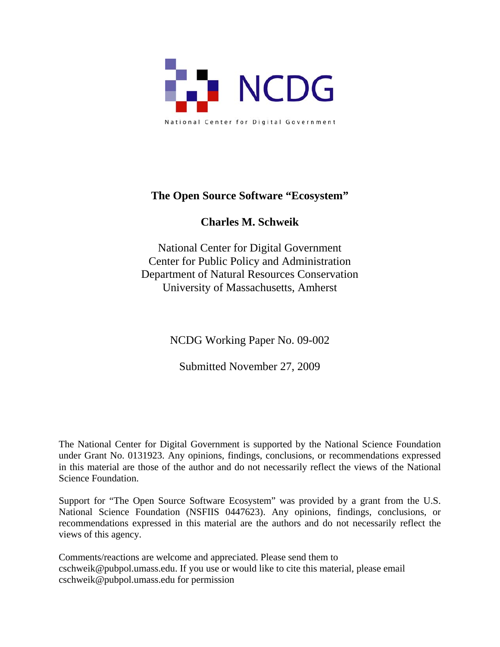

# **The Open Source Software "Ecosystem"**

# **Charles M. Schweik**

National Center for Digital Government Center for Public Policy and Administration Department of Natural Resources Conservation University of Massachusetts, Amherst

NCDG Working Paper No. 09-002

Submitted November 27, 2009

The National Center for Digital Government is supported by the National Science Foundation under Grant No. 0131923. Any opinions, findings, conclusions, or recommendations expressed in this material are those of the author and do not necessarily reflect the views of the National Science Foundation.

Support for "The Open Source Software Ecosystem" was provided by a grant from the U.S. National Science Foundation (NSFIIS 0447623). Any opinions, findings, conclusions, or recommendations expressed in this material are the authors and do not necessarily reflect the views of this agency.

Comments/reactions are welcome and appreciated. Please send them to cschweik@pubpol.umass.edu. If you use or would like to cite this material, please email cschweik@pubpol.umass.edu for permission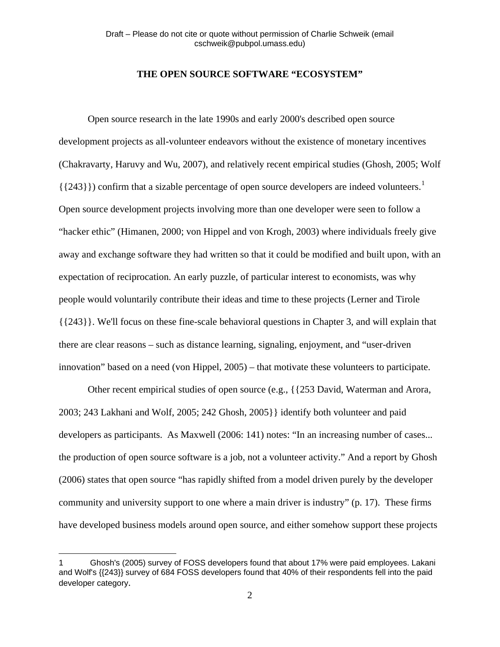# **THE OPEN SOURCE SOFTWARE "ECOSYSTEM"**

 Open source research in the late 1990s and early 2000's described open source development projects as all-volunteer endeavors without the existence of monetary incentives (Chakravarty, Haruvy and Wu, 2007), and relatively recent empirical studies (Ghosh, 2005; Wolf  $({243})$ ) confirm that a sizable percentage of open source developers are indeed volunteers.<sup>[1](#page-2-0)</sup> Open source development projects involving more than one developer were seen to follow a "hacker ethic" (Himanen, 2000; von Hippel and von Krogh, 2003) where individuals freely give away and exchange software they had written so that it could be modified and built upon, with an expectation of reciprocation. An early puzzle, of particular interest to economists, was why people would voluntarily contribute their ideas and time to these projects (Lerner and Tirole {{243}}. We'll focus on these fine-scale behavioral questions in Chapter 3, and will explain that there are clear reasons – such as distance learning, signaling, enjoyment, and "user-driven innovation" based on a need (von Hippel, 2005) – that motivate these volunteers to participate.

 Other recent empirical studies of open source (e.g., {{253 David, Waterman and Arora, 2003; 243 Lakhani and Wolf, 2005; 242 Ghosh, 2005}} identify both volunteer and paid developers as participants. As Maxwell (2006: 141) notes: "In an increasing number of cases... the production of open source software is a job, not a volunteer activity." And a report by Ghosh (2006) states that open source "has rapidly shifted from a model driven purely by the developer community and university support to one where a main driver is industry" (p. 17). These firms have developed business models around open source, and either somehow support these projects

 $\overline{a}$ 

<span id="page-2-0"></span><sup>1</sup> Ghosh's (2005) survey of FOSS developers found that about 17% were paid employees. Lakani and Wolf's {{243}} survey of 684 FOSS developers found that 40% of their respondents fell into the paid developer category.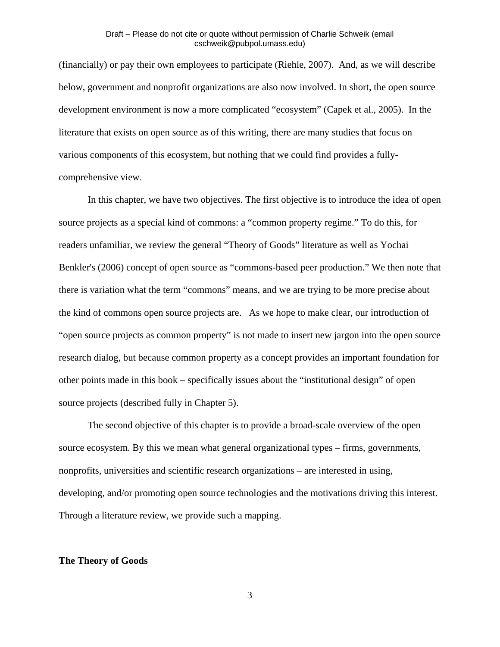(financially) or pay their own employees to participate (Riehle, 2007). And, as we will describe below, government and nonprofit organizations are also now involved. In short, the open source development environment is now a more complicated "ecosystem" (Capek et al., 2005). In the literature that exists on open source as of this writing, there are many studies that focus on various components of this ecosystem, but nothing that we could find provides a fullycomprehensive view.

In this chapter, we have two objectives. The first objective is to introduce the idea of open source projects as a special kind of commons: a "common property regime." To do this, for readers unfamiliar, we review the general "Theory of Goods" literature as well as Yochai Benkler's (2006) concept of open source as "commons-based peer production." We then note that there is variation what the term "commons" means, and we are trying to be more precise about the kind of commons open source projects are. As we hope to make clear, our introduction of "open source projects as common property" is not made to insert new jargon into the open source research dialog, but because common property as a concept provides an important foundation for other points made in this book – specifically issues about the "institutional design" of open source projects (described fully in Chapter 5).

The second objective of this chapter is to provide a broad-scale overview of the open source ecosystem. By this we mean what general organizational types – firms, governments, nonprofits, universities and scientific research organizations – are interested in using, developing, and/or promoting open source technologies and the motivations driving this interest. Through a literature review, we provide such a mapping.

#### **The Theory of Goods**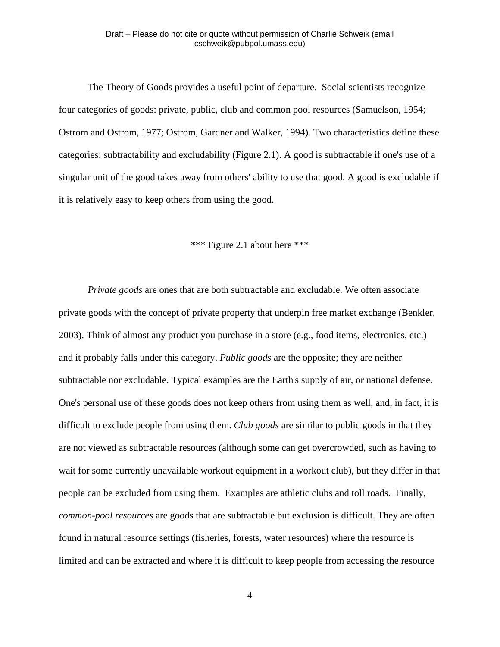The Theory of Goods provides a useful point of departure. Social scientists recognize four categories of goods: private, public, club and common pool resources (Samuelson, 1954; Ostrom and Ostrom, 1977; Ostrom, Gardner and Walker, 1994). Two characteristics define these categories: subtractability and excludability (Figure 2.1). A good is subtractable if one's use of a singular unit of the good takes away from others' ability to use that good. A good is excludable if it is relatively easy to keep others from using the good.

# \*\*\* Figure 2.1 about here \*\*\*

*Private goods* are ones that are both subtractable and excludable. We often associate private goods with the concept of private property that underpin free market exchange (Benkler, 2003). Think of almost any product you purchase in a store (e.g., food items, electronics, etc.) and it probably falls under this category. *Public goods* are the opposite; they are neither subtractable nor excludable. Typical examples are the Earth's supply of air, or national defense. One's personal use of these goods does not keep others from using them as well, and, in fact, it is difficult to exclude people from using them. *Club goods* are similar to public goods in that they are not viewed as subtractable resources (although some can get overcrowded, such as having to wait for some currently unavailable workout equipment in a workout club), but they differ in that people can be excluded from using them. Examples are athletic clubs and toll roads. Finally, *common-pool resources* are goods that are subtractable but exclusion is difficult. They are often found in natural resource settings (fisheries, forests, water resources) where the resource is limited and can be extracted and where it is difficult to keep people from accessing the resource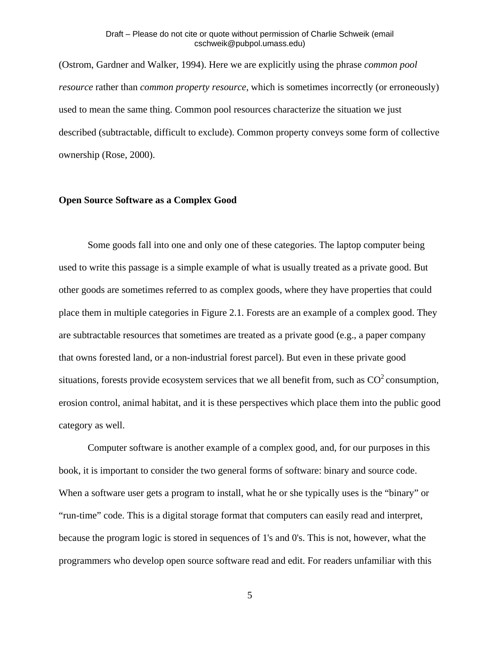(Ostrom, Gardner and Walker, 1994). Here we are explicitly using the phrase *common pool resource* rather than *common property resource*, which is sometimes incorrectly (or erroneously) used to mean the same thing. Common pool resources characterize the situation we just described (subtractable, difficult to exclude). Common property conveys some form of collective ownership (Rose, 2000).

#### **Open Source Software as a Complex Good**

 Some goods fall into one and only one of these categories. The laptop computer being used to write this passage is a simple example of what is usually treated as a private good. But other goods are sometimes referred to as complex goods, where they have properties that could place them in multiple categories in Figure 2.1. Forests are an example of a complex good. They are subtractable resources that sometimes are treated as a private good (e.g., a paper company that owns forested land, or a non-industrial forest parcel). But even in these private good situations, forests provide ecosystem services that we all benefit from, such as  $CO<sup>2</sup>$  consumption, erosion control, animal habitat, and it is these perspectives which place them into the public good category as well.

 Computer software is another example of a complex good, and, for our purposes in this book, it is important to consider the two general forms of software: binary and source code. When a software user gets a program to install, what he or she typically uses is the "binary" or "run-time" code. This is a digital storage format that computers can easily read and interpret, because the program logic is stored in sequences of 1's and 0's. This is not, however, what the programmers who develop open source software read and edit. For readers unfamiliar with this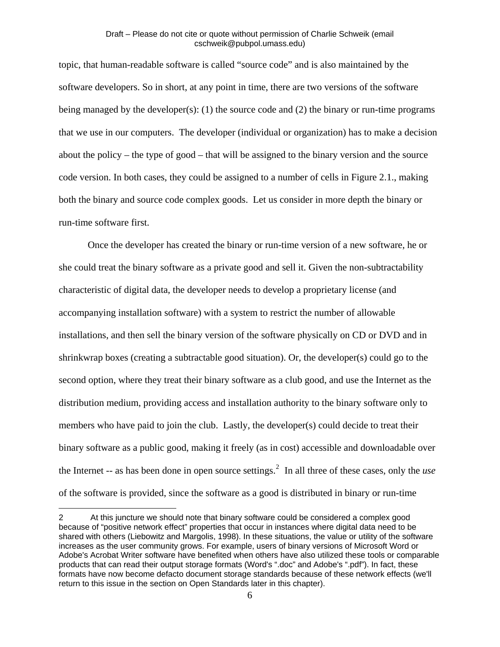topic, that human-readable software is called "source code" and is also maintained by the software developers. So in short, at any point in time, there are two versions of the software being managed by the developer(s): (1) the source code and (2) the binary or run-time programs that we use in our computers. The developer (individual or organization) has to make a decision about the policy – the type of good – that will be assigned to the binary version and the source code version. In both cases, they could be assigned to a number of cells in Figure 2.1., making both the binary and source code complex goods. Let us consider in more depth the binary or run-time software first.

 Once the developer has created the binary or run-time version of a new software, he or she could treat the binary software as a private good and sell it. Given the non-subtractability characteristic of digital data, the developer needs to develop a proprietary license (and accompanying installation software) with a system to restrict the number of allowable installations, and then sell the binary version of the software physically on CD or DVD and in shrinkwrap boxes (creating a subtractable good situation). Or, the developer(s) could go to the second option, where they treat their binary software as a club good, and use the Internet as the distribution medium, providing access and installation authority to the binary software only to members who have paid to join the club. Lastly, the developer(s) could decide to treat their binary software as a public good, making it freely (as in cost) accessible and downloadable over the Internet -- as has been done in open source settings.<sup>[2](#page-6-0)</sup> In all three of these cases, only the *use* of the software is provided, since the software as a good is distributed in binary or run-time

<span id="page-6-0"></span><sup>2</sup> At this juncture we should note that binary software could be considered a complex good because of "positive network effect" properties that occur in instances where digital data need to be shared with others (Liebowitz and Margolis, 1998). In these situations, the value or utility of the software increases as the user community grows. For example, users of binary versions of Microsoft Word or Adobe's Acrobat Writer software have benefited when others have also utilized these tools or comparable products that can read their output storage formats (Word's ".doc" and Adobe's ".pdf"). In fact, these formats have now become defacto document storage standards because of these network effects (we'll return to this issue in the section on Open Standards later in this chapter).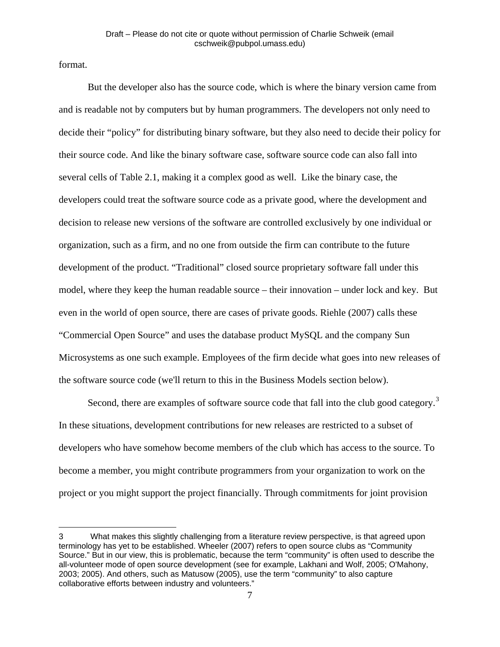format.

1

 But the developer also has the source code, which is where the binary version came from and is readable not by computers but by human programmers. The developers not only need to decide their "policy" for distributing binary software, but they also need to decide their policy for their source code. And like the binary software case, software source code can also fall into several cells of Table 2.1, making it a complex good as well. Like the binary case, the developers could treat the software source code as a private good, where the development and decision to release new versions of the software are controlled exclusively by one individual or organization, such as a firm, and no one from outside the firm can contribute to the future development of the product. "Traditional" closed source proprietary software fall under this model, where they keep the human readable source – their innovation – under lock and key. But even in the world of open source, there are cases of private goods. Riehle (2007) calls these "Commercial Open Source" and uses the database product MySQL and the company Sun Microsystems as one such example. Employees of the firm decide what goes into new releases of the software source code (we'll return to this in the Business Models section below).

Second, there are examples of software source code that fall into the club good category.<sup>[3](#page-7-0)</sup> In these situations, development contributions for new releases are restricted to a subset of developers who have somehow become members of the club which has access to the source. To become a member, you might contribute programmers from your organization to work on the project or you might support the project financially. Through commitments for joint provision

<span id="page-7-0"></span><sup>3</sup> What makes this slightly challenging from a literature review perspective, is that agreed upon terminology has yet to be established. Wheeler (2007) refers to open source clubs as "Community Source." But in our view, this is problematic, because the term "community" is often used to describe the all-volunteer mode of open source development (see for example, Lakhani and Wolf, 2005; O'Mahony, 2003; 2005). And others, such as Matusow (2005), use the term "community" to also capture collaborative efforts between industry and volunteers."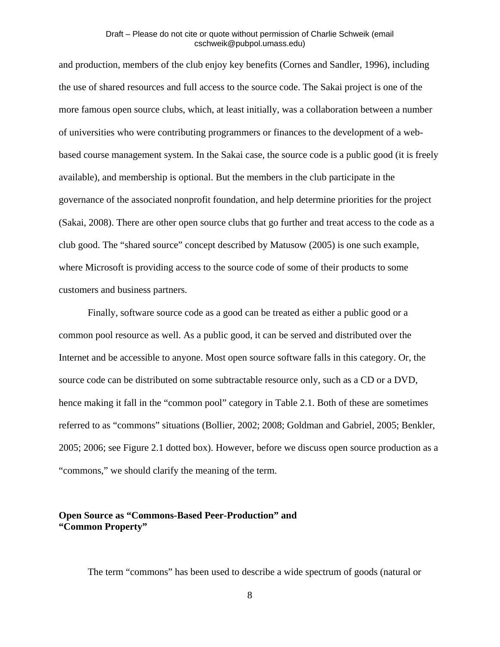and production, members of the club enjoy key benefits (Cornes and Sandler, 1996), including the use of shared resources and full access to the source code. The Sakai project is one of the more famous open source clubs, which, at least initially, was a collaboration between a number of universities who were contributing programmers or finances to the development of a webbased course management system. In the Sakai case, the source code is a public good (it is freely available), and membership is optional. But the members in the club participate in the governance of the associated nonprofit foundation, and help determine priorities for the project (Sakai, 2008). There are other open source clubs that go further and treat access to the code as a club good. The "shared source" concept described by Matusow (2005) is one such example, where Microsoft is providing access to the source code of some of their products to some customers and business partners.

 Finally, software source code as a good can be treated as either a public good or a common pool resource as well. As a public good, it can be served and distributed over the Internet and be accessible to anyone. Most open source software falls in this category. Or, the source code can be distributed on some subtractable resource only, such as a CD or a DVD, hence making it fall in the "common pool" category in Table 2.1. Both of these are sometimes referred to as "commons" situations (Bollier, 2002; 2008; Goldman and Gabriel, 2005; Benkler, 2005; 2006; see Figure 2.1 dotted box). However, before we discuss open source production as a "commons," we should clarify the meaning of the term.

# **Open Source as "Commons-Based Peer-Production" and "Common Property"**

The term "commons" has been used to describe a wide spectrum of goods (natural or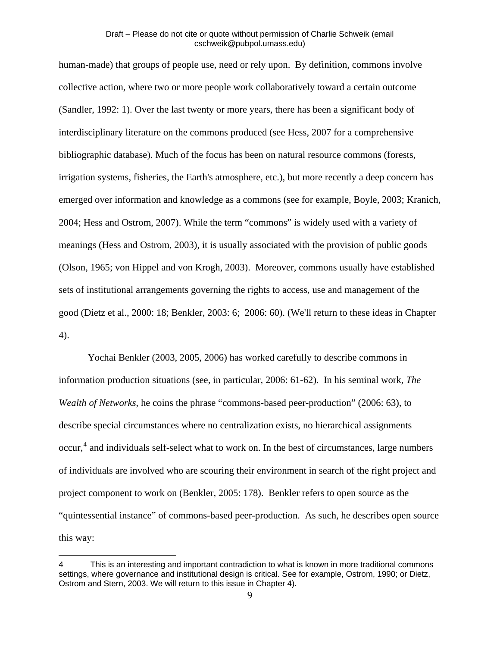human-made) that groups of people use, need or rely upon. By definition, commons involve collective action, where two or more people work collaboratively toward a certain outcome (Sandler, 1992: 1). Over the last twenty or more years, there has been a significant body of interdisciplinary literature on the commons produced (see Hess, 2007 for a comprehensive bibliographic database). Much of the focus has been on natural resource commons (forests, irrigation systems, fisheries, the Earth's atmosphere, etc.), but more recently a deep concern has emerged over information and knowledge as a commons (see for example, Boyle, 2003; Kranich, 2004; Hess and Ostrom, 2007). While the term "commons" is widely used with a variety of meanings (Hess and Ostrom, 2003), it is usually associated with the provision of public goods (Olson, 1965; von Hippel and von Krogh, 2003). Moreover, commons usually have established sets of institutional arrangements governing the rights to access, use and management of the good (Dietz et al., 2000: 18; Benkler, 2003: 6; 2006: 60). (We'll return to these ideas in Chapter 4).

 Yochai Benkler (2003, 2005, 2006) has worked carefully to describe commons in information production situations (see, in particular, 2006: 61-62). In his seminal work, *The Wealth of Networks*, he coins the phrase "commons-based peer-production" (2006: 63), to describe special circumstances where no centralization exists, no hierarchical assignments occur, [4](#page-9-0) and individuals self-select what to work on. In the best of circumstances, large numbers of individuals are involved who are scouring their environment in search of the right project and project component to work on (Benkler, 2005: 178). Benkler refers to open source as the "quintessential instance" of commons-based peer-production. As such, he describes open source this way:

 $\overline{a}$ 

<span id="page-9-0"></span><sup>4</sup> This is an interesting and important contradiction to what is known in more traditional commons settings, where governance and institutional design is critical. See for example, Ostrom, 1990; or Dietz, Ostrom and Stern, 2003. We will return to this issue in Chapter 4).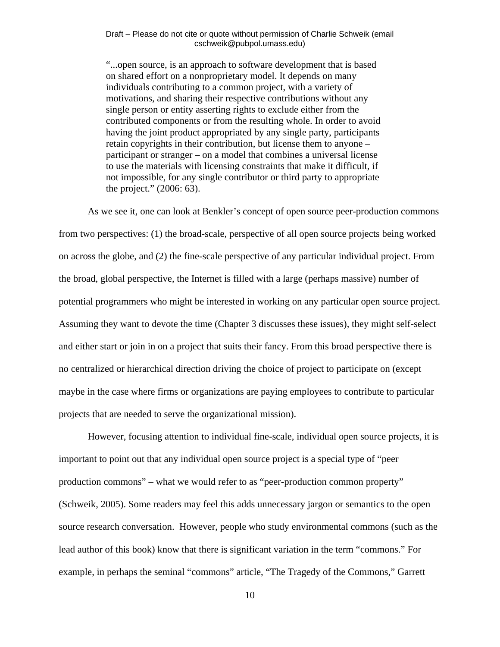"...open source, is an approach to software development that is based on shared effort on a nonproprietary model. It depends on many individuals contributing to a common project, with a variety of motivations, and sharing their respective contributions without any single person or entity asserting rights to exclude either from the contributed components or from the resulting whole. In order to avoid having the joint product appropriated by any single party, participants retain copyrights in their contribution, but license them to anyone – participant or stranger – on a model that combines a universal license to use the materials with licensing constraints that make it difficult, if not impossible, for any single contributor or third party to appropriate the project." (2006: 63).

 As we see it, one can look at Benkler's concept of open source peer-production commons from two perspectives: (1) the broad-scale, perspective of all open source projects being worked on across the globe, and (2) the fine-scale perspective of any particular individual project. From the broad, global perspective, the Internet is filled with a large (perhaps massive) number of potential programmers who might be interested in working on any particular open source project. Assuming they want to devote the time (Chapter 3 discusses these issues), they might self-select and either start or join in on a project that suits their fancy. From this broad perspective there is no centralized or hierarchical direction driving the choice of project to participate on (except maybe in the case where firms or organizations are paying employees to contribute to particular projects that are needed to serve the organizational mission).

 However, focusing attention to individual fine-scale, individual open source projects, it is important to point out that any individual open source project is a special type of "peer production commons" – what we would refer to as "peer-production common property" (Schweik, 2005). Some readers may feel this adds unnecessary jargon or semantics to the open source research conversation. However, people who study environmental commons (such as the lead author of this book) know that there is significant variation in the term "commons." For example, in perhaps the seminal "commons" article, "The Tragedy of the Commons," Garrett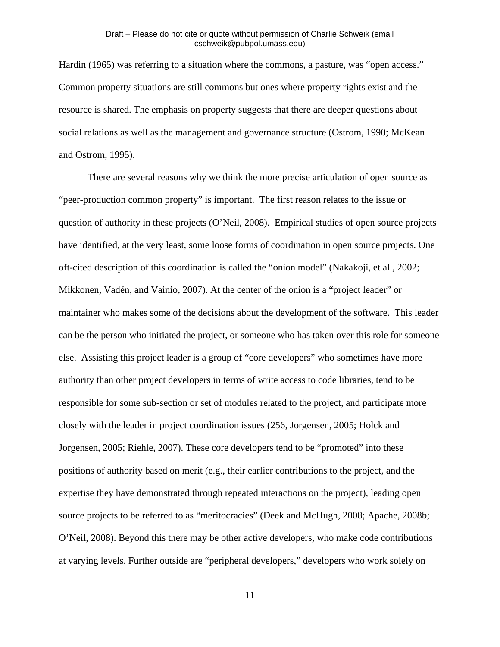Hardin (1965) was referring to a situation where the commons, a pasture, was "open access." Common property situations are still commons but ones where property rights exist and the resource is shared. The emphasis on property suggests that there are deeper questions about social relations as well as the management and governance structure (Ostrom, 1990; McKean and Ostrom, 1995).

 There are several reasons why we think the more precise articulation of open source as "peer-production common property" is important. The first reason relates to the issue or question of authority in these projects (O'Neil, 2008). Empirical studies of open source projects have identified, at the very least, some loose forms of coordination in open source projects. One oft-cited description of this coordination is called the "onion model" (Nakakoji, et al., 2002; Mikkonen, Vadén, and Vainio, 2007). At the center of the onion is a "project leader" or maintainer who makes some of the decisions about the development of the software. This leader can be the person who initiated the project, or someone who has taken over this role for someone else. Assisting this project leader is a group of "core developers" who sometimes have more authority than other project developers in terms of write access to code libraries, tend to be responsible for some sub-section or set of modules related to the project, and participate more closely with the leader in project coordination issues (256, Jorgensen, 2005; Holck and Jorgensen, 2005; Riehle, 2007). These core developers tend to be "promoted" into these positions of authority based on merit (e.g., their earlier contributions to the project, and the expertise they have demonstrated through repeated interactions on the project), leading open source projects to be referred to as "meritocracies" (Deek and McHugh, 2008; Apache, 2008b; O'Neil, 2008). Beyond this there may be other active developers, who make code contributions at varying levels. Further outside are "peripheral developers," developers who work solely on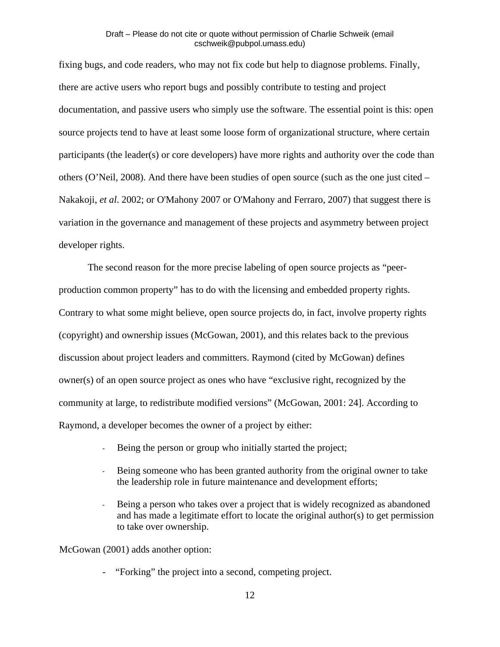fixing bugs, and code readers, who may not fix code but help to diagnose problems. Finally, there are active users who report bugs and possibly contribute to testing and project documentation, and passive users who simply use the software. The essential point is this: open source projects tend to have at least some loose form of organizational structure, where certain participants (the leader(s) or core developers) have more rights and authority over the code than others (O'Neil, 2008). And there have been studies of open source (such as the one just cited – Nakakoji, *et al*. 2002; or O'Mahony 2007 or O'Mahony and Ferraro, 2007) that suggest there is variation in the governance and management of these projects and asymmetry between project developer rights.

 The second reason for the more precise labeling of open source projects as "peerproduction common property" has to do with the licensing and embedded property rights. Contrary to what some might believe, open source projects do, in fact, involve property rights (copyright) and ownership issues (McGowan, 2001), and this relates back to the previous discussion about project leaders and committers. Raymond (cited by McGowan) defines owner(s) of an open source project as ones who have "exclusive right, recognized by the community at large, to redistribute modified versions" (McGowan, 2001: 24]. According to Raymond, a developer becomes the owner of a project by either:

- Being the person or group who initially started the project;
- Being someone who has been granted authority from the original owner to take the leadership role in future maintenance and development efforts;
- Being a person who takes over a project that is widely recognized as abandoned and has made a legitimate effort to locate the original author(s) to get permission to take over ownership.

McGowan (2001) adds another option:

- "Forking" the project into a second, competing project.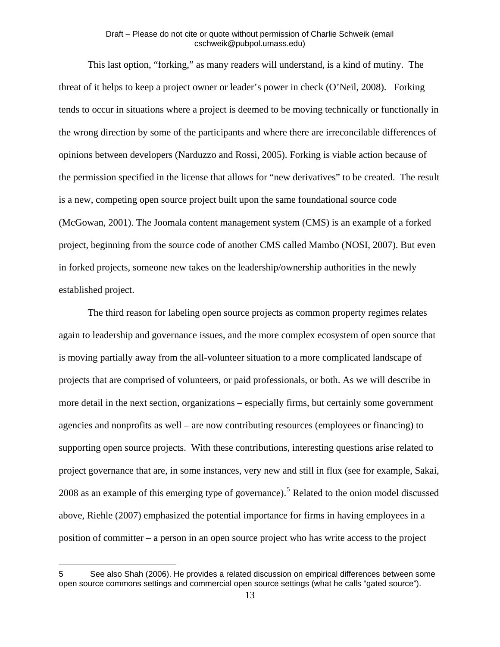This last option, "forking," as many readers will understand, is a kind of mutiny. The threat of it helps to keep a project owner or leader's power in check (O'Neil, 2008). Forking tends to occur in situations where a project is deemed to be moving technically or functionally in the wrong direction by some of the participants and where there are irreconcilable differences of opinions between developers (Narduzzo and Rossi, 2005). Forking is viable action because of the permission specified in the license that allows for "new derivatives" to be created. The result is a new, competing open source project built upon the same foundational source code (McGowan, 2001). The Joomala content management system (CMS) is an example of a forked project, beginning from the source code of another CMS called Mambo (NOSI, 2007). But even in forked projects, someone new takes on the leadership/ownership authorities in the newly established project.

 The third reason for labeling open source projects as common property regimes relates again to leadership and governance issues, and the more complex ecosystem of open source that is moving partially away from the all-volunteer situation to a more complicated landscape of projects that are comprised of volunteers, or paid professionals, or both. As we will describe in more detail in the next section, organizations – especially firms, but certainly some government agencies and nonprofits as well – are now contributing resources (employees or financing) to supporting open source projects. With these contributions, interesting questions arise related to project governance that are, in some instances, very new and still in flux (see for example, Sakai, 2008 as an example of this emerging type of governance).<sup>[5](#page-13-0)</sup> Related to the onion model discussed above, Riehle (2007) emphasized the potential importance for firms in having employees in a position of committer – a person in an open source project who has write access to the project

<span id="page-13-0"></span><sup>5</sup> See also Shah (2006). He provides a related discussion on empirical differences between some open source commons settings and commercial open source settings (what he calls "gated source").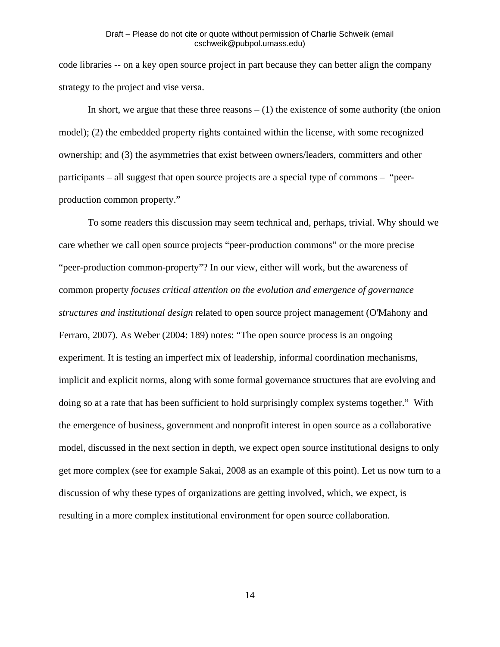code libraries -- on a key open source project in part because they can better align the company strategy to the project and vise versa.

In short, we argue that these three reasons  $- (1)$  the existence of some authority (the onion model); (2) the embedded property rights contained within the license, with some recognized ownership; and (3) the asymmetries that exist between owners/leaders, committers and other participants – all suggest that open source projects are a special type of commons – "peerproduction common property."

 To some readers this discussion may seem technical and, perhaps, trivial. Why should we care whether we call open source projects "peer-production commons" or the more precise "peer-production common-property"? In our view, either will work, but the awareness of common property *focuses critical attention on the evolution and emergence of governance structures and institutional design* related to open source project management (O'Mahony and Ferraro, 2007). As Weber (2004: 189) notes: "The open source process is an ongoing experiment. It is testing an imperfect mix of leadership, informal coordination mechanisms, implicit and explicit norms, along with some formal governance structures that are evolving and doing so at a rate that has been sufficient to hold surprisingly complex systems together." With the emergence of business, government and nonprofit interest in open source as a collaborative model, discussed in the next section in depth, we expect open source institutional designs to only get more complex (see for example Sakai, 2008 as an example of this point). Let us now turn to a discussion of why these types of organizations are getting involved, which, we expect, is resulting in a more complex institutional environment for open source collaboration.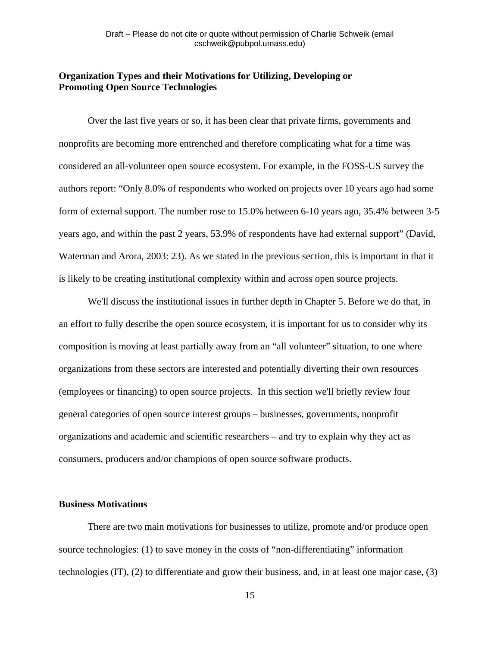# **Organization Types and their Motivations for Utilizing, Developing or Promoting Open Source Technologies**

Over the last five years or so, it has been clear that private firms, governments and nonprofits are becoming more entrenched and therefore complicating what for a time was considered an all-volunteer open source ecosystem. For example, in the FOSS-US survey the authors report: "Only 8.0% of respondents who worked on projects over 10 years ago had some form of external support. The number rose to 15.0% between 6-10 years ago, 35.4% between 3-5 years ago, and within the past 2 years, 53.9% of respondents have had external support" (David, Waterman and Arora, 2003: 23). As we stated in the previous section, this is important in that it is likely to be creating institutional complexity within and across open source projects.

We'll discuss the institutional issues in further depth in Chapter 5. Before we do that, in an effort to fully describe the open source ecosystem, it is important for us to consider why its composition is moving at least partially away from an "all volunteer" situation, to one where organizations from these sectors are interested and potentially diverting their own resources (employees or financing) to open source projects. In this section we'll briefly review four general categories of open source interest groups – businesses, governments, nonprofit organizations and academic and scientific researchers – and try to explain why they act as consumers, producers and/or champions of open source software products.

# **Business Motivations**

 There are two main motivations for businesses to utilize, promote and/or produce open source technologies: (1) to save money in the costs of "non-differentiating" information technologies (IT), (2) to differentiate and grow their business, and, in at least one major case, (3)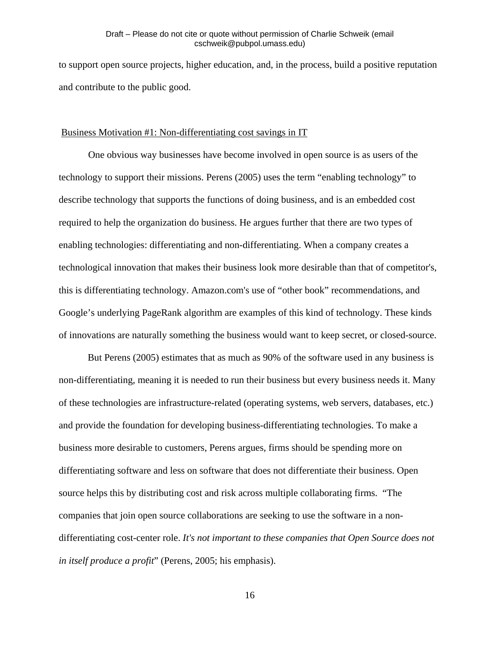to support open source projects, higher education, and, in the process, build a positive reputation and contribute to the public good.

#### Business Motivation #1: Non-differentiating cost savings in IT

One obvious way businesses have become involved in open source is as users of the technology to support their missions. Perens (2005) uses the term "enabling technology" to describe technology that supports the functions of doing business, and is an embedded cost required to help the organization do business. He argues further that there are two types of enabling technologies: differentiating and non-differentiating. When a company creates a technological innovation that makes their business look more desirable than that of competitor's, this is differentiating technology. Amazon.com's use of "other book" recommendations, and Google's underlying PageRank algorithm are examples of this kind of technology. These kinds of innovations are naturally something the business would want to keep secret, or closed-source.

 But Perens (2005) estimates that as much as 90% of the software used in any business is non-differentiating, meaning it is needed to run their business but every business needs it. Many of these technologies are infrastructure-related (operating systems, web servers, databases, etc.) and provide the foundation for developing business-differentiating technologies. To make a business more desirable to customers, Perens argues, firms should be spending more on differentiating software and less on software that does not differentiate their business. Open source helps this by distributing cost and risk across multiple collaborating firms. "The companies that join open source collaborations are seeking to use the software in a nondifferentiating cost-center role. *It's not important to these companies that Open Source does not in itself produce a profit*" (Perens, 2005; his emphasis).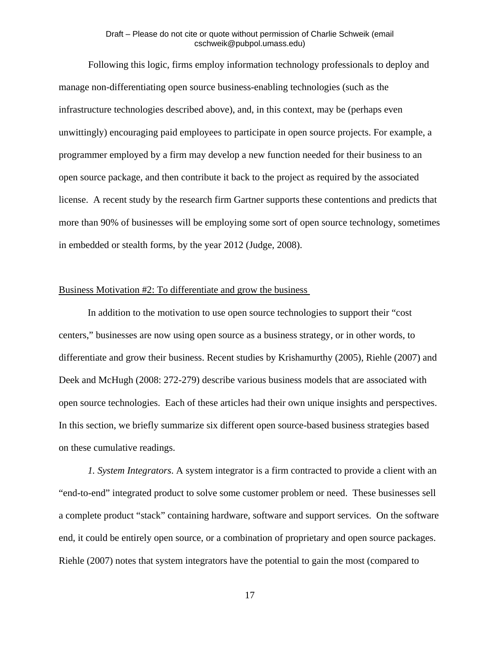Following this logic, firms employ information technology professionals to deploy and manage non-differentiating open source business-enabling technologies (such as the infrastructure technologies described above), and, in this context, may be (perhaps even unwittingly) encouraging paid employees to participate in open source projects. For example, a programmer employed by a firm may develop a new function needed for their business to an open source package, and then contribute it back to the project as required by the associated license. A recent study by the research firm Gartner supports these contentions and predicts that more than 90% of businesses will be employing some sort of open source technology, sometimes in embedded or stealth forms, by the year 2012 (Judge, 2008).

#### Business Motivation #2: To differentiate and grow the business

 In addition to the motivation to use open source technologies to support their "cost centers," businesses are now using open source as a business strategy, or in other words, to differentiate and grow their business. Recent studies by Krishamurthy (2005), Riehle (2007) and Deek and McHugh (2008: 272-279) describe various business models that are associated with open source technologies. Each of these articles had their own unique insights and perspectives. In this section, we briefly summarize six different open source-based business strategies based on these cumulative readings.

*1. System Integrators*. A system integrator is a firm contracted to provide a client with an "end-to-end" integrated product to solve some customer problem or need. These businesses sell a complete product "stack" containing hardware, software and support services. On the software end, it could be entirely open source, or a combination of proprietary and open source packages. Riehle (2007) notes that system integrators have the potential to gain the most (compared to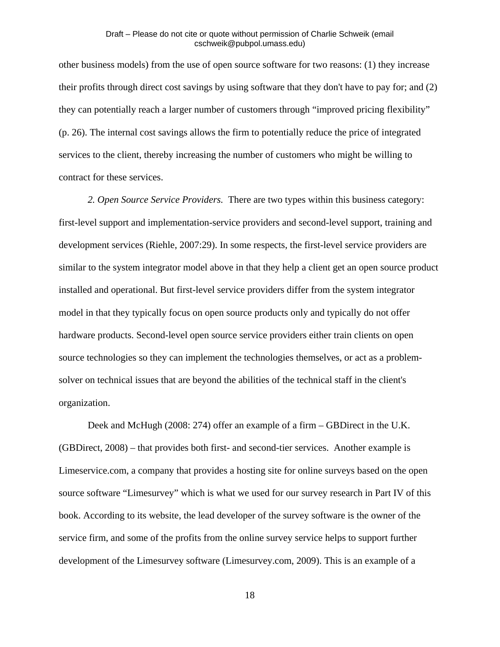other business models) from the use of open source software for two reasons: (1) they increase their profits through direct cost savings by using software that they don't have to pay for; and (2) they can potentially reach a larger number of customers through "improved pricing flexibility" (p. 26). The internal cost savings allows the firm to potentially reduce the price of integrated services to the client, thereby increasing the number of customers who might be willing to contract for these services.

*2. Open Source Service Providers.* There are two types within this business category: first-level support and implementation-service providers and second-level support, training and development services (Riehle, 2007:29). In some respects, the first-level service providers are similar to the system integrator model above in that they help a client get an open source product installed and operational. But first-level service providers differ from the system integrator model in that they typically focus on open source products only and typically do not offer hardware products. Second-level open source service providers either train clients on open source technologies so they can implement the technologies themselves, or act as a problemsolver on technical issues that are beyond the abilities of the technical staff in the client's organization.

Deek and McHugh (2008: 274) offer an example of a firm – GBDirect in the U.K. (GBDirect, 2008) – that provides both first- and second-tier services. Another example is Limeservice.com, a company that provides a hosting site for online surveys based on the open source software "Limesurvey" which is what we used for our survey research in Part IV of this book. According to its website, the lead developer of the survey software is the owner of the service firm, and some of the profits from the online survey service helps to support further development of the Limesurvey software (Limesurvey.com, 2009). This is an example of a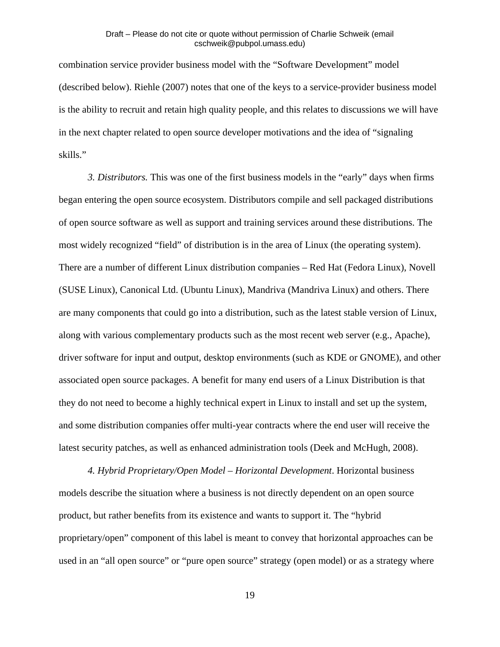combination service provider business model with the "Software Development" model (described below). Riehle (2007) notes that one of the keys to a service-provider business model is the ability to recruit and retain high quality people, and this relates to discussions we will have in the next chapter related to open source developer motivations and the idea of "signaling skills."

*3. Distributors.* This was one of the first business models in the "early" days when firms began entering the open source ecosystem. Distributors compile and sell packaged distributions of open source software as well as support and training services around these distributions. The most widely recognized "field" of distribution is in the area of Linux (the operating system). There are a number of different Linux distribution companies – Red Hat (Fedora Linux), Novell (SUSE Linux), Canonical Ltd. (Ubuntu Linux), Mandriva (Mandriva Linux) and others. There are many components that could go into a distribution, such as the latest stable version of Linux, along with various complementary products such as the most recent web server (e.g., Apache), driver software for input and output, desktop environments (such as KDE or GNOME), and other associated open source packages. A benefit for many end users of a Linux Distribution is that they do not need to become a highly technical expert in Linux to install and set up the system, and some distribution companies offer multi-year contracts where the end user will receive the latest security patches, as well as enhanced administration tools (Deek and McHugh, 2008).

*4. Hybrid Proprietary/Open Model – Horizontal Development*. Horizontal business models describe the situation where a business is not directly dependent on an open source product, but rather benefits from its existence and wants to support it. The "hybrid proprietary/open" component of this label is meant to convey that horizontal approaches can be used in an "all open source" or "pure open source" strategy (open model) or as a strategy where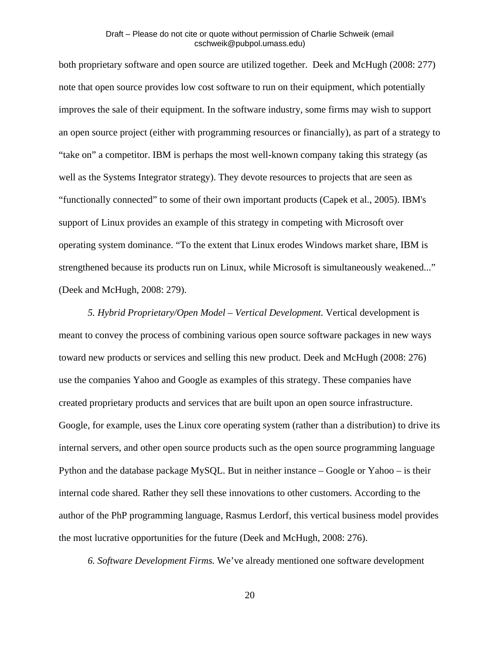both proprietary software and open source are utilized together. Deek and McHugh (2008: 277) note that open source provides low cost software to run on their equipment, which potentially improves the sale of their equipment. In the software industry, some firms may wish to support an open source project (either with programming resources or financially), as part of a strategy to "take on" a competitor. IBM is perhaps the most well-known company taking this strategy (as well as the Systems Integrator strategy). They devote resources to projects that are seen as "functionally connected" to some of their own important products (Capek et al., 2005). IBM's support of Linux provides an example of this strategy in competing with Microsoft over operating system dominance. "To the extent that Linux erodes Windows market share, IBM is strengthened because its products run on Linux, while Microsoft is simultaneously weakened..." (Deek and McHugh, 2008: 279).

*5. Hybrid Proprietary/Open Model – Vertical Development.* Vertical development is meant to convey the process of combining various open source software packages in new ways toward new products or services and selling this new product. Deek and McHugh (2008: 276) use the companies Yahoo and Google as examples of this strategy. These companies have created proprietary products and services that are built upon an open source infrastructure. Google, for example, uses the Linux core operating system (rather than a distribution) to drive its internal servers, and other open source products such as the open source programming language Python and the database package MySQL. But in neither instance – Google or Yahoo – is their internal code shared. Rather they sell these innovations to other customers. According to the author of the PhP programming language, Rasmus Lerdorf, this vertical business model provides the most lucrative opportunities for the future (Deek and McHugh, 2008: 276).

*6. Software Development Firms.* We've already mentioned one software development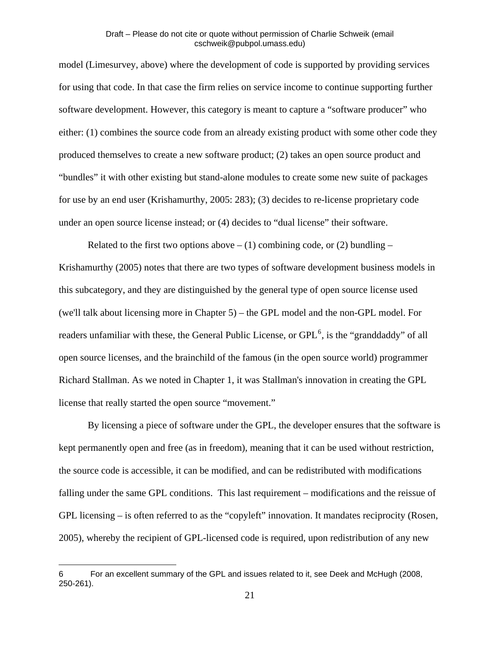model (Limesurvey, above) where the development of code is supported by providing services for using that code. In that case the firm relies on service income to continue supporting further software development. However, this category is meant to capture a "software producer" who either: (1) combines the source code from an already existing product with some other code they produced themselves to create a new software product; (2) takes an open source product and "bundles" it with other existing but stand-alone modules to create some new suite of packages for use by an end user (Krishamurthy, 2005: 283); (3) decides to re-license proprietary code under an open source license instead; or (4) decides to "dual license" their software.

Related to the first two options above  $- (1)$  combining code, or (2) bundling  $-$ Krishamurthy (2005) notes that there are two types of software development business models in this subcategory, and they are distinguished by the general type of open source license used (we'll talk about licensing more in Chapter 5) – the GPL model and the non-GPL model. For readers unfamiliar with these, the General Public License, or  $GPL^6$  $GPL^6$ , is the "granddaddy" of all open source licenses, and the brainchild of the famous (in the open source world) programmer Richard Stallman. As we noted in Chapter 1, it was Stallman's innovation in creating the GPL license that really started the open source "movement."

 By licensing a piece of software under the GPL, the developer ensures that the software is kept permanently open and free (as in freedom), meaning that it can be used without restriction, the source code is accessible, it can be modified, and can be redistributed with modifications falling under the same GPL conditions. This last requirement – modifications and the reissue of GPL licensing – is often referred to as the "copyleft" innovation. It mandates reciprocity (Rosen, 2005), whereby the recipient of GPL-licensed code is required, upon redistribution of any new

 $\overline{a}$ 

<span id="page-21-0"></span><sup>6</sup> For an excellent summary of the GPL and issues related to it, see Deek and McHugh (2008, 250-261).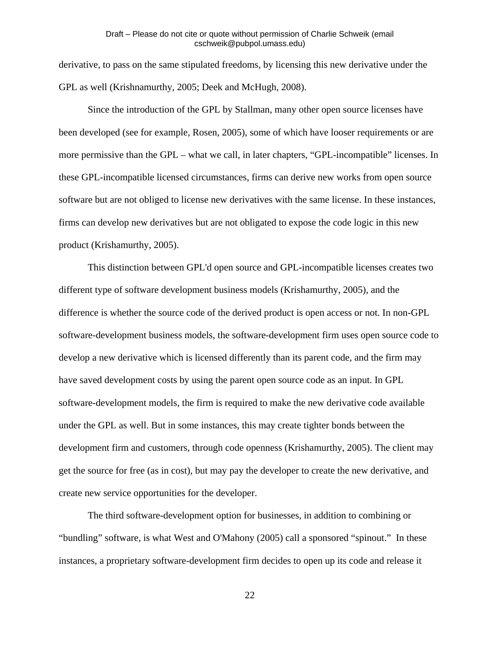derivative, to pass on the same stipulated freedoms, by licensing this new derivative under the GPL as well (Krishnamurthy, 2005; Deek and McHugh, 2008).

 Since the introduction of the GPL by Stallman, many other open source licenses have been developed (see for example, Rosen, 2005), some of which have looser requirements or are more permissive than the GPL – what we call, in later chapters, "GPL-incompatible" licenses. In these GPL-incompatible licensed circumstances, firms can derive new works from open source software but are not obliged to license new derivatives with the same license. In these instances, firms can develop new derivatives but are not obligated to expose the code logic in this new product (Krishamurthy, 2005).

 This distinction between GPL'd open source and GPL-incompatible licenses creates two different type of software development business models (Krishamurthy, 2005), and the difference is whether the source code of the derived product is open access or not. In non-GPL software-development business models, the software-development firm uses open source code to develop a new derivative which is licensed differently than its parent code, and the firm may have saved development costs by using the parent open source code as an input. In GPL software-development models, the firm is required to make the new derivative code available under the GPL as well. But in some instances, this may create tighter bonds between the development firm and customers, through code openness (Krishamurthy, 2005). The client may get the source for free (as in cost), but may pay the developer to create the new derivative, and create new service opportunities for the developer.

 The third software-development option for businesses, in addition to combining or "bundling" software, is what West and O'Mahony (2005) call a sponsored "spinout." In these instances, a proprietary software-development firm decides to open up its code and release it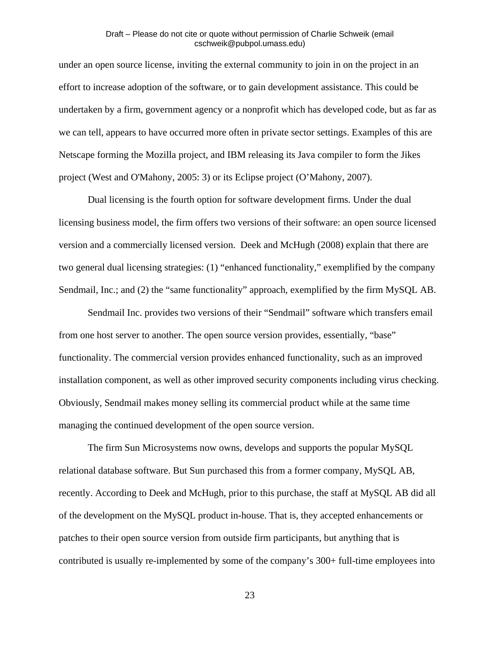under an open source license, inviting the external community to join in on the project in an effort to increase adoption of the software, or to gain development assistance. This could be undertaken by a firm, government agency or a nonprofit which has developed code, but as far as we can tell, appears to have occurred more often in private sector settings. Examples of this are Netscape forming the Mozilla project, and IBM releasing its Java compiler to form the Jikes project (West and O'Mahony, 2005: 3) or its Eclipse project (O'Mahony, 2007).

 Dual licensing is the fourth option for software development firms. Under the dual licensing business model, the firm offers two versions of their software: an open source licensed version and a commercially licensed version. Deek and McHugh (2008) explain that there are two general dual licensing strategies: (1) "enhanced functionality," exemplified by the company Sendmail, Inc.; and (2) the "same functionality" approach, exemplified by the firm MySQL AB.

 Sendmail Inc. provides two versions of their "Sendmail" software which transfers email from one host server to another. The open source version provides, essentially, "base" functionality. The commercial version provides enhanced functionality, such as an improved installation component, as well as other improved security components including virus checking. Obviously, Sendmail makes money selling its commercial product while at the same time managing the continued development of the open source version.

 The firm Sun Microsystems now owns, develops and supports the popular MySQL relational database software. But Sun purchased this from a former company, MySQL AB, recently. According to Deek and McHugh, prior to this purchase, the staff at MySQL AB did all of the development on the MySQL product in-house. That is, they accepted enhancements or patches to their open source version from outside firm participants, but anything that is contributed is usually re-implemented by some of the company's 300+ full-time employees into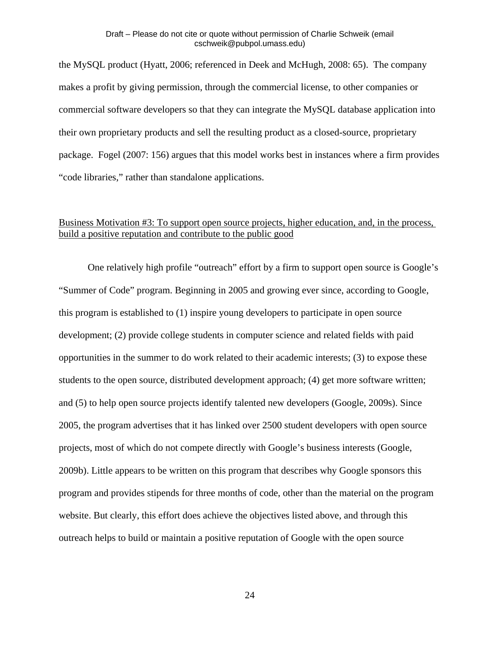the MySQL product (Hyatt, 2006; referenced in Deek and McHugh, 2008: 65). The company makes a profit by giving permission, through the commercial license, to other companies or commercial software developers so that they can integrate the MySQL database application into their own proprietary products and sell the resulting product as a closed-source, proprietary package. Fogel (2007: 156) argues that this model works best in instances where a firm provides "code libraries," rather than standalone applications.

# Business Motivation #3: To support open source projects, higher education, and, in the process, build a positive reputation and contribute to the public good

One relatively high profile "outreach" effort by a firm to support open source is Google's "Summer of Code" program. Beginning in 2005 and growing ever since, according to Google, this program is established to (1) inspire young developers to participate in open source development; (2) provide college students in computer science and related fields with paid opportunities in the summer to do work related to their academic interests; (3) to expose these students to the open source, distributed development approach; (4) get more software written; and (5) to help open source projects identify talented new developers (Google, 2009s). Since 2005, the program advertises that it has linked over 2500 student developers with open source projects, most of which do not compete directly with Google's business interests (Google, 2009b). Little appears to be written on this program that describes why Google sponsors this program and provides stipends for three months of code, other than the material on the program website. But clearly, this effort does achieve the objectives listed above, and through this outreach helps to build or maintain a positive reputation of Google with the open source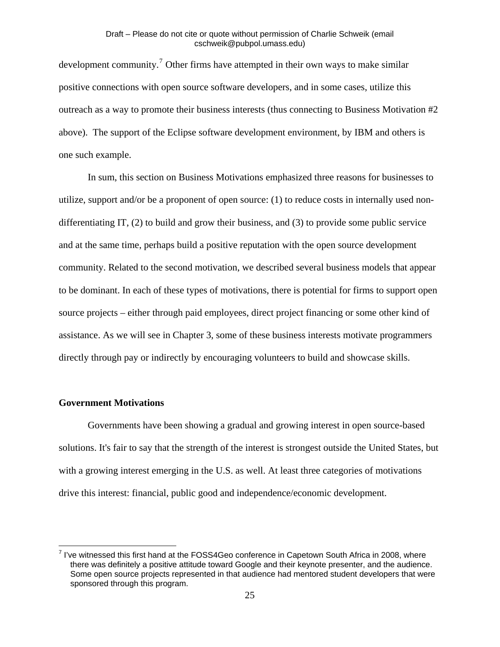development community.<sup>[7](#page-25-0)</sup> Other firms have attempted in their own ways to make similar positive connections with open source software developers, and in some cases, utilize this outreach as a way to promote their business interests (thus connecting to Business Motivation #2 above). The support of the Eclipse software development environment, by IBM and others is one such example.

 In sum, this section on Business Motivations emphasized three reasons for businesses to utilize, support and/or be a proponent of open source: (1) to reduce costs in internally used nondifferentiating IT, (2) to build and grow their business, and (3) to provide some public service and at the same time, perhaps build a positive reputation with the open source development community. Related to the second motivation, we described several business models that appear to be dominant. In each of these types of motivations, there is potential for firms to support open source projects – either through paid employees, direct project financing or some other kind of assistance. As we will see in Chapter 3, some of these business interests motivate programmers directly through pay or indirectly by encouraging volunteers to build and showcase skills.

# **Government Motivations**

 Governments have been showing a gradual and growing interest in open source-based solutions. It's fair to say that the strength of the interest is strongest outside the United States, but with a growing interest emerging in the U.S. as well. At least three categories of motivations drive this interest: financial, public good and independence/economic development.

<span id="page-25-0"></span> 7 I've witnessed this first hand at the FOSS4Geo conference in Capetown South Africa in 2008, where there was definitely a positive attitude toward Google and their keynote presenter, and the audience. Some open source projects represented in that audience had mentored student developers that were sponsored through this program.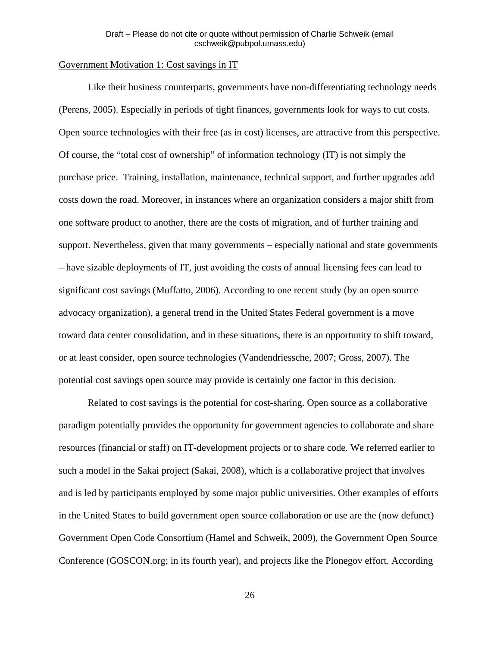## Government Motivation 1: Cost savings in IT

Like their business counterparts, governments have non-differentiating technology needs (Perens, 2005). Especially in periods of tight finances, governments look for ways to cut costs. Open source technologies with their free (as in cost) licenses, are attractive from this perspective. Of course, the "total cost of ownership" of information technology (IT) is not simply the purchase price. Training, installation, maintenance, technical support, and further upgrades add costs down the road. Moreover, in instances where an organization considers a major shift from one software product to another, there are the costs of migration, and of further training and support. Nevertheless, given that many governments – especially national and state governments – have sizable deployments of IT, just avoiding the costs of annual licensing fees can lead to significant cost savings (Muffatto, 2006). According to one recent study (by an open source advocacy organization), a general trend in the United States Federal government is a move toward data center consolidation, and in these situations, there is an opportunity to shift toward, or at least consider, open source technologies (Vandendriessche, 2007; Gross, 2007). The potential cost savings open source may provide is certainly one factor in this decision.

 Related to cost savings is the potential for cost-sharing. Open source as a collaborative paradigm potentially provides the opportunity for government agencies to collaborate and share resources (financial or staff) on IT-development projects or to share code. We referred earlier to such a model in the Sakai project (Sakai, 2008), which is a collaborative project that involves and is led by participants employed by some major public universities. Other examples of efforts in the United States to build government open source collaboration or use are the (now defunct) Government Open Code Consortium (Hamel and Schweik, 2009), the Government Open Source Conference (GOSCON.org; in its fourth year), and projects like the Plonegov effort. According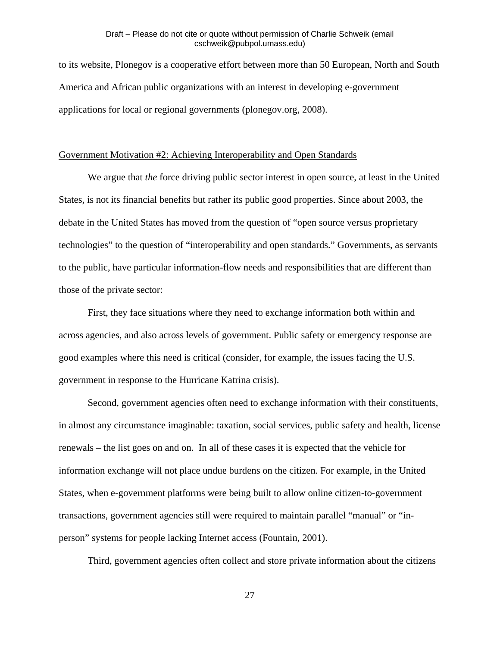to its website, Plonegov is a cooperative effort between more than 50 European, North and South America and African public organizations with an interest in developing e-government applications for local or regional governments (plonegov.org, 2008).

#### Government Motivation #2: Achieving Interoperability and Open Standards

We argue that *the* force driving public sector interest in open source, at least in the United States, is not its financial benefits but rather its public good properties. Since about 2003, the debate in the United States has moved from the question of "open source versus proprietary technologies" to the question of "interoperability and open standards." Governments, as servants to the public, have particular information-flow needs and responsibilities that are different than those of the private sector:

 First, they face situations where they need to exchange information both within and across agencies, and also across levels of government. Public safety or emergency response are good examples where this need is critical (consider, for example, the issues facing the U.S. government in response to the Hurricane Katrina crisis).

 Second, government agencies often need to exchange information with their constituents, in almost any circumstance imaginable: taxation, social services, public safety and health, license renewals – the list goes on and on. In all of these cases it is expected that the vehicle for information exchange will not place undue burdens on the citizen. For example, in the United States, when e-government platforms were being built to allow online citizen-to-government transactions, government agencies still were required to maintain parallel "manual" or "inperson" systems for people lacking Internet access (Fountain, 2001).

Third, government agencies often collect and store private information about the citizens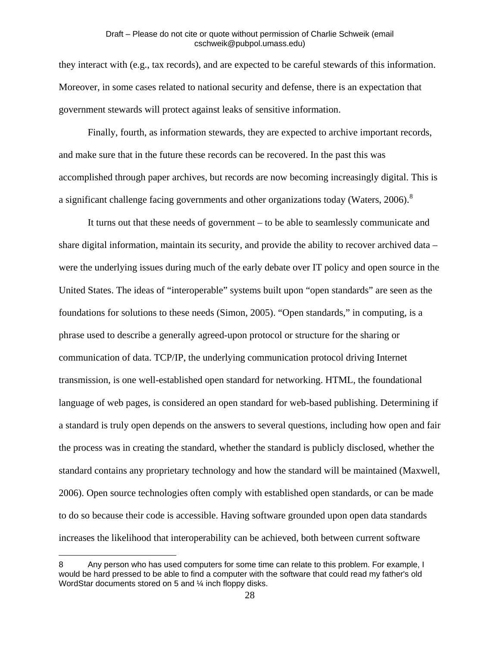they interact with (e.g., tax records), and are expected to be careful stewards of this information. Moreover, in some cases related to national security and defense, there is an expectation that government stewards will protect against leaks of sensitive information.

 Finally, fourth, as information stewards, they are expected to archive important records, and make sure that in the future these records can be recovered. In the past this was accomplished through paper archives, but records are now becoming increasingly digital. This is a significant challenge facing governments and other organizations today (Waters, 2006).<sup>[8](#page-28-0)</sup>

 It turns out that these needs of government – to be able to seamlessly communicate and share digital information, maintain its security, and provide the ability to recover archived data – were the underlying issues during much of the early debate over IT policy and open source in the United States. The ideas of "interoperable" systems built upon "open standards" are seen as the foundations for solutions to these needs (Simon, 2005). "Open standards," in computing, is a phrase used to describe a generally agreed-upon protocol or structure for the sharing or communication of data. TCP/IP, the underlying communication protocol driving Internet transmission, is one well-established open standard for networking. HTML, the foundational language of web pages, is considered an open standard for web-based publishing. Determining if a standard is truly open depends on the answers to several questions, including how open and fair the process was in creating the standard, whether the standard is publicly disclosed, whether the standard contains any proprietary technology and how the standard will be maintained (Maxwell, 2006). Open source technologies often comply with established open standards, or can be made to do so because their code is accessible. Having software grounded upon open data standards increases the likelihood that interoperability can be achieved, both between current software

 $\overline{a}$ 

<span id="page-28-0"></span><sup>8</sup> Any person who has used computers for some time can relate to this problem. For example, I would be hard pressed to be able to find a computer with the software that could read my father's old WordStar documents stored on 5 and 1/4 inch floppy disks.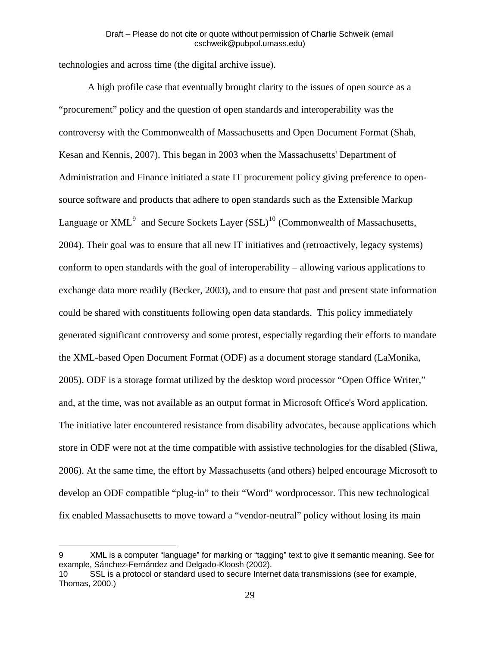technologies and across time (the digital archive issue).

 A high profile case that eventually brought clarity to the issues of open source as a "procurement" policy and the question of open standards and interoperability was the controversy with the Commonwealth of Massachusetts and Open Document Format (Shah, Kesan and Kennis, 2007). This began in 2003 when the Massachusetts' Department of Administration and Finance initiated a state IT procurement policy giving preference to opensource software and products that adhere to open standards such as the Extensible Markup Language or  $XML<sup>9</sup>$  $XML<sup>9</sup>$  $XML<sup>9</sup>$  and Secure Sockets Layer (SSL)<sup>[10](#page-29-1)</sup> (Commonwealth of Massachusetts, 2004). Their goal was to ensure that all new IT initiatives and (retroactively, legacy systems) conform to open standards with the goal of interoperability – allowing various applications to exchange data more readily (Becker, 2003), and to ensure that past and present state information could be shared with constituents following open data standards. This policy immediately generated significant controversy and some protest, especially regarding their efforts to mandate the XML-based Open Document Format (ODF) as a document storage standard (LaMonika, 2005). ODF is a storage format utilized by the desktop word processor "Open Office Writer," and, at the time, was not available as an output format in Microsoft Office's Word application. The initiative later encountered resistance from disability advocates, because applications which store in ODF were not at the time compatible with assistive technologies for the disabled (Sliwa, 2006). At the same time, the effort by Massachusetts (and others) helped encourage Microsoft to develop an ODF compatible "plug-in" to their "Word" wordprocessor. This new technological fix enabled Massachusetts to move toward a "vendor-neutral" policy without losing its main

 $\overline{a}$ 

<span id="page-29-0"></span><sup>9</sup> XML is a computer "language" for marking or "tagging" text to give it semantic meaning. See for example, Sánchez-Fernández and Delgado-Kloosh (2002).

<span id="page-29-1"></span><sup>10</sup> SSL is a protocol or standard used to secure Internet data transmissions (see for example, Thomas, 2000.)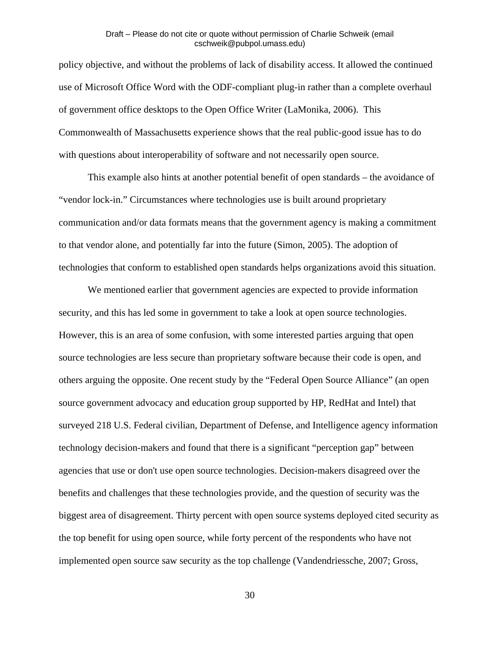policy objective, and without the problems of lack of disability access. It allowed the continued use of Microsoft Office Word with the ODF-compliant plug-in rather than a complete overhaul of government office desktops to the Open Office Writer (LaMonika, 2006). This Commonwealth of Massachusetts experience shows that the real public-good issue has to do with questions about interoperability of software and not necessarily open source.

 This example also hints at another potential benefit of open standards – the avoidance of "vendor lock-in." Circumstances where technologies use is built around proprietary communication and/or data formats means that the government agency is making a commitment to that vendor alone, and potentially far into the future (Simon, 2005). The adoption of technologies that conform to established open standards helps organizations avoid this situation.

 We mentioned earlier that government agencies are expected to provide information security, and this has led some in government to take a look at open source technologies. However, this is an area of some confusion, with some interested parties arguing that open source technologies are less secure than proprietary software because their code is open, and others arguing the opposite. One recent study by the "Federal Open Source Alliance" (an open source government advocacy and education group supported by HP, RedHat and Intel) that surveyed 218 U.S. Federal civilian, Department of Defense, and Intelligence agency information technology decision-makers and found that there is a significant "perception gap" between agencies that use or don't use open source technologies. Decision-makers disagreed over the benefits and challenges that these technologies provide, and the question of security was the biggest area of disagreement. Thirty percent with open source systems deployed cited security as the top benefit for using open source, while forty percent of the respondents who have not implemented open source saw security as the top challenge (Vandendriessche, 2007; Gross,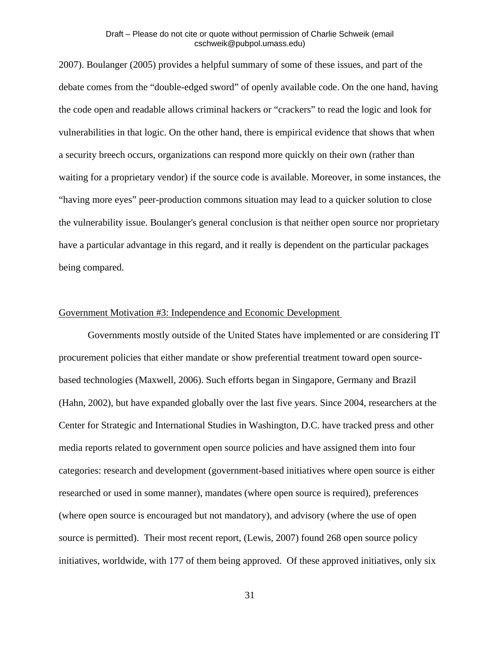2007). Boulanger (2005) provides a helpful summary of some of these issues, and part of the debate comes from the "double-edged sword" of openly available code. On the one hand, having the code open and readable allows criminal hackers or "crackers" to read the logic and look for vulnerabilities in that logic. On the other hand, there is empirical evidence that shows that when a security breech occurs, organizations can respond more quickly on their own (rather than waiting for a proprietary vendor) if the source code is available. Moreover, in some instances, the "having more eyes" peer-production commons situation may lead to a quicker solution to close the vulnerability issue. Boulanger's general conclusion is that neither open source nor proprietary have a particular advantage in this regard, and it really is dependent on the particular packages being compared.

#### Government Motivation #3: Independence and Economic Development

Governments mostly outside of the United States have implemented or are considering IT procurement policies that either mandate or show preferential treatment toward open sourcebased technologies (Maxwell, 2006). Such efforts began in Singapore, Germany and Brazil (Hahn, 2002), but have expanded globally over the last five years. Since 2004, researchers at the Center for Strategic and International Studies in Washington, D.C. have tracked press and other media reports related to government open source policies and have assigned them into four categories: research and development (government-based initiatives where open source is either researched or used in some manner), mandates (where open source is required), preferences (where open source is encouraged but not mandatory), and advisory (where the use of open source is permitted). Their most recent report, (Lewis, 2007) found 268 open source policy initiatives, worldwide, with 177 of them being approved. Of these approved initiatives, only six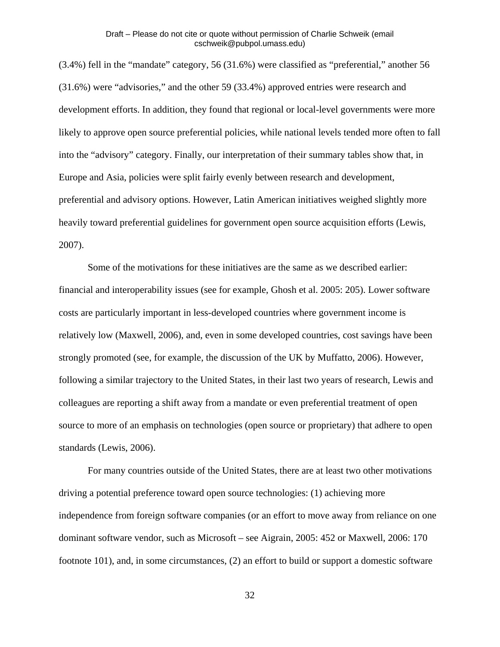(3.4%) fell in the "mandate" category, 56 (31.6%) were classified as "preferential," another 56 (31.6%) were "advisories," and the other 59 (33.4%) approved entries were research and development efforts. In addition, they found that regional or local-level governments were more likely to approve open source preferential policies, while national levels tended more often to fall into the "advisory" category. Finally, our interpretation of their summary tables show that, in Europe and Asia, policies were split fairly evenly between research and development, preferential and advisory options. However, Latin American initiatives weighed slightly more heavily toward preferential guidelines for government open source acquisition efforts (Lewis, 2007).

 Some of the motivations for these initiatives are the same as we described earlier: financial and interoperability issues (see for example, Ghosh et al. 2005: 205). Lower software costs are particularly important in less-developed countries where government income is relatively low (Maxwell, 2006), and, even in some developed countries, cost savings have been strongly promoted (see, for example, the discussion of the UK by Muffatto, 2006). However, following a similar trajectory to the United States, in their last two years of research, Lewis and colleagues are reporting a shift away from a mandate or even preferential treatment of open source to more of an emphasis on technologies (open source or proprietary) that adhere to open standards (Lewis, 2006).

 For many countries outside of the United States, there are at least two other motivations driving a potential preference toward open source technologies: (1) achieving more independence from foreign software companies (or an effort to move away from reliance on one dominant software vendor, such as Microsoft – see Aigrain, 2005: 452 or Maxwell, 2006: 170 footnote 101), and, in some circumstances, (2) an effort to build or support a domestic software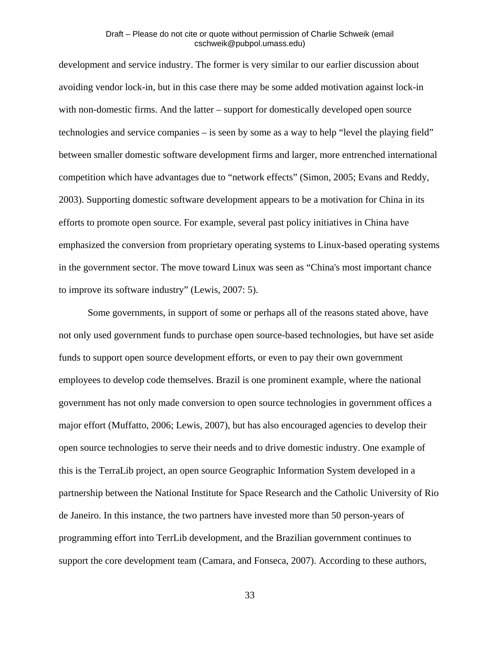development and service industry. The former is very similar to our earlier discussion about avoiding vendor lock-in, but in this case there may be some added motivation against lock-in with non-domestic firms. And the latter – support for domestically developed open source technologies and service companies – is seen by some as a way to help "level the playing field" between smaller domestic software development firms and larger, more entrenched international competition which have advantages due to "network effects" (Simon, 2005; Evans and Reddy, 2003). Supporting domestic software development appears to be a motivation for China in its efforts to promote open source. For example, several past policy initiatives in China have emphasized the conversion from proprietary operating systems to Linux-based operating systems in the government sector. The move toward Linux was seen as "China's most important chance to improve its software industry" (Lewis, 2007: 5).

 Some governments, in support of some or perhaps all of the reasons stated above, have not only used government funds to purchase open source-based technologies, but have set aside funds to support open source development efforts, or even to pay their own government employees to develop code themselves. Brazil is one prominent example, where the national government has not only made conversion to open source technologies in government offices a major effort (Muffatto, 2006; Lewis, 2007), but has also encouraged agencies to develop their open source technologies to serve their needs and to drive domestic industry. One example of this is the TerraLib project, an open source Geographic Information System developed in a partnership between the National Institute for Space Research and the Catholic University of Rio de Janeiro. In this instance, the two partners have invested more than 50 person-years of programming effort into TerrLib development, and the Brazilian government continues to support the core development team (Camara, and Fonseca, 2007). According to these authors,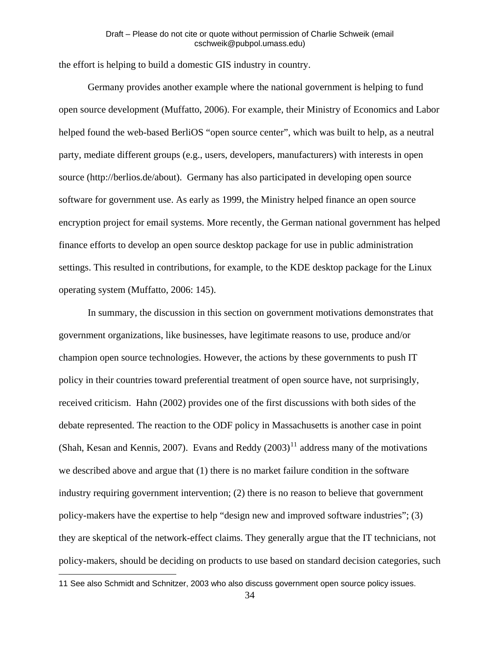the effort is helping to build a domestic GIS industry in country.

 Germany provides another example where the national government is helping to fund open source development (Muffatto, 2006). For example, their Ministry of Economics and Labor helped found the web-based BerliOS "open source center", which was built to help, as a neutral party, mediate different groups (e.g., users, developers, manufacturers) with interests in open source (http://berlios.de/about). Germany has also participated in developing open source software for government use. As early as 1999, the Ministry helped finance an open source encryption project for email systems. More recently, the German national government has helped finance efforts to develop an open source desktop package for use in public administration settings. This resulted in contributions, for example, to the KDE desktop package for the Linux operating system (Muffatto, 2006: 145).

 In summary, the discussion in this section on government motivations demonstrates that government organizations, like businesses, have legitimate reasons to use, produce and/or champion open source technologies. However, the actions by these governments to push IT policy in their countries toward preferential treatment of open source have, not surprisingly, received criticism. Hahn (2002) provides one of the first discussions with both sides of the debate represented. The reaction to the ODF policy in Massachusetts is another case in point (Shah, Kesan and Kennis, 2007). Evans and Reddy  $(2003)^{11}$  $(2003)^{11}$  $(2003)^{11}$  address many of the motivations we described above and argue that (1) there is no market failure condition in the software industry requiring government intervention; (2) there is no reason to believe that governmen t policy-makers have the expertise to help "design new and improved software industries"; (3) they are skeptical of the network-effect claims. They generally argue that the IT technicians, not policy-makers, should be deciding on products to use based on standard decision categories, su ch

 $\overline{a}$ 

<span id="page-34-0"></span><sup>11</sup> See also Schmidt and Schnitzer, 2003 who also discuss government open source policy issues.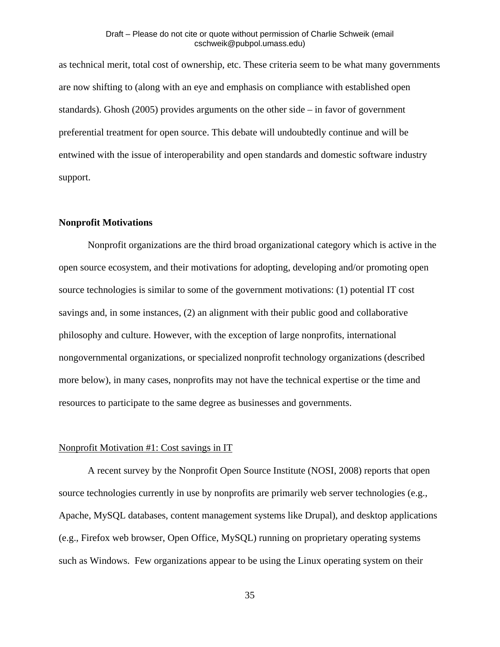as technical merit, total cost of ownership, etc. These criteria seem to be what many governmen ts are now shifting to (along with an eye and emphasis on compliance with established open standards). Ghosh (2005) provides arguments on the other side – in favor of government preferential treatment for open source. This debate will undoubtedly continue and will be entwined with the issue of interoperability and open standards and domestic software industry support.

#### **Nonprofit Motivations**

 Nonprofit organizations are the third broad organizational category which is active in the open source ecosystem, and their motivations for adopting, developing and/or promoting open source technologies is similar to some of the government motivations: (1) potential IT cost savings and, in some instances, (2) an alignment with their public good and collaborative philosophy and culture. However, with the exception of large nonprofits, international nongovernmental organizations, or specialized nonprofit technology organizations (described more below), in many cases, nonprofits may not have the technical expertise or the time and resources to participate to the same degree as businesses and governments.

#### Nonprofit Motivation #1: Cost savings in IT

A recent survey by the Nonprofit Open Source Institute (NOSI, 2008) reports that open source technologies currently in use by nonprofits are primarily web server technologies (e.g., Apache, MySQL databases, content management systems like Drupal), and desktop applications (e.g., Firefox web browser, Open Office, MySQL) running on proprietary operating systems such as Windows. Few organizations appear to be using the Linux operating system on their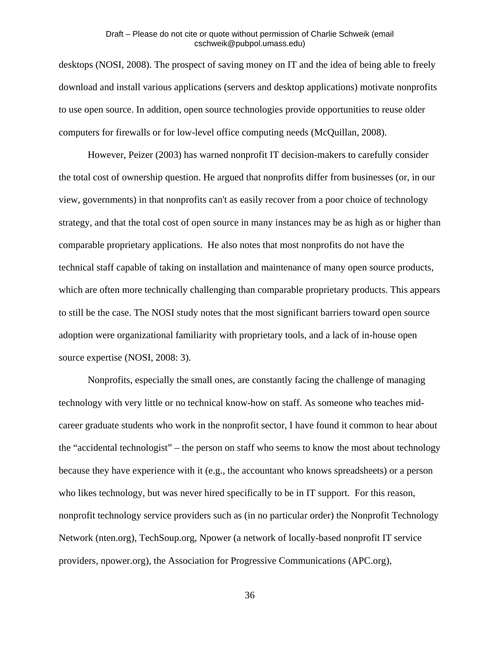desktops (NOSI, 2008). The prospect of saving money on IT and the idea of being able to freely download and install various applications (servers and desktop applications) motivate nonprofits to use open source. In addition, open source technologies provide opportunities to reuse older computers for firewalls or for low-level office computing needs (McQuillan, 2008).

 However, Peizer (2003) has warned nonprofit IT decision-makers to carefully consider the total cost of ownership question. He argued that nonprofits differ from businesses (or, in our view, governments) in that nonprofits can't as easily recover from a poor choice of technology strategy, and that the total cost of open source in many instances may be as high as or higher than comparable proprietary applications. He also notes that most nonprofits do not have the technical staff capable of taking on installation and maintenance of many open source products, which are often more technically challenging than comparable proprietary products. This appears to still be the case. The NOSI study notes that the most significant barriers toward open source adoption were organizational familiarity with proprietary tools, and a lack of in-house open source expertise (NOSI, 2008: 3).

 Nonprofits, especially the small ones, are constantly facing the challenge of managing technology with very little or no technical know-how on staff. As someone who teaches midcareer graduate students who work in the nonprofit sector, I have found it common to hear about the "accidental technologist" – the person on staff who seems to know the most about technology because they have experience with it (e.g., the accountant who knows spreadsheets) or a person who likes technology, but was never hired specifically to be in IT support. For this reason, nonprofit technology service providers such as (in no particular order) the Nonprofit Technology Network (nten.org), TechSoup.org, Npower (a network of locally-based nonprofit IT service providers, npower.org), the Association for Progressive Communications (APC.org),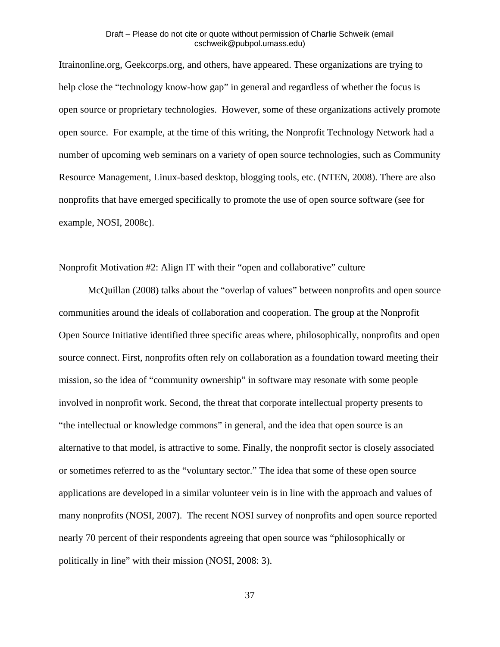Itrainonline.org, Geekcorps.org, and others, have appeared. These organizations are trying to help close the "technology know-how gap" in general and regardless of whether the focus is open source or proprietary technologies. However, some of these organizations actively promote open source. For example, at the time of this writing, the Nonprofit Technology Network had a number of upcoming web seminars on a variety of open source technologies, such as Community Resource Management, Linux-based desktop, blogging tools, etc. (NTEN, 2008). There are also nonprofits that have emerged specifically to promote the use of open source software (see for example, NOSI, 2008c).

# Nonprofit Motivation #2: Align IT with their "open and collaborative" culture

McQuillan (2008) talks about the "overlap of values" between nonprofits and open source communities around the ideals of collaboration and cooperation. The group at the Nonprofit Open Source Initiative identified three specific areas where, philosophically, nonprofits and open source connect. First, nonprofits often rely on collaboration as a foundation toward meeting their mission, so the idea of "community ownership" in software may resonate with some people involved in nonprofit work. Second, the threat that corporate intellectual property presents to "the intellectual or knowledge commons" in general, and the idea that open source is an alternative to that model, is attractive to some. Finally, the nonprofit sector is closely associated or sometimes referred to as the "voluntary sector." The idea that some of these open source applications are developed in a similar volunteer vein is in line with the approach and values of many nonprofits (NOSI, 2007). The recent NOSI survey of nonprofits and open source reported nearly 70 percent of their respondents agreeing that open source was "philosophically or politically in line" with their mission (NOSI, 2008: 3).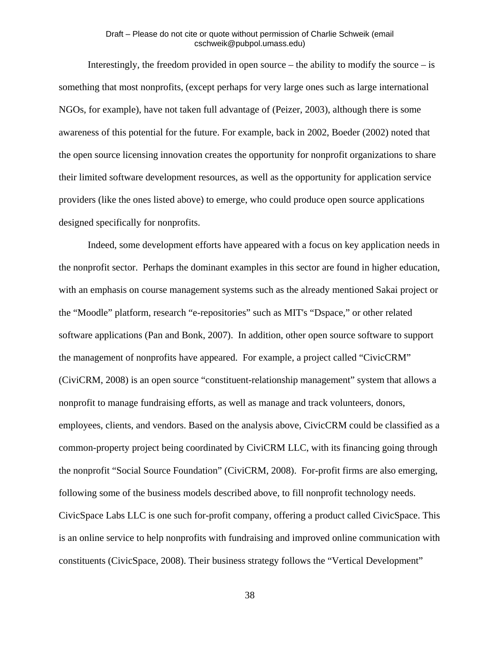Interestingly, the freedom provided in open source – the ability to modify the source – is something that most nonprofits, (except perhaps for very large ones such as large international NGOs, for example), have not taken full advantage of (Peizer, 2003), although there is some awareness of this potential for the future. For example, back in 2002, Boeder (2002) noted that the open source licensing innovation creates the opportunity for nonprofit organizations to share their limited software development resources, as well as the opportunity for application service providers (like the ones listed above) to emerge, who could produce open source applications designed specifically for nonprofits.

 Indeed, some development efforts have appeared with a focus on key application needs in the nonprofit sector. Perhaps the dominant examples in this sector are found in higher education, with an emphasis on course management systems such as the already mentioned Sakai project or the "Moodle" platform, research "e-repositories" such as MIT's "Dspace," or other related software applications (Pan and Bonk, 2007). In addition, other open source software to support the management of nonprofits have appeared. For example, a project called "CivicCRM" (CiviCRM, 2008) is an open source "constituent-relationship management" system that allows a nonprofit to manage fundraising efforts, as well as manage and track volunteers, donors, employees, clients, and vendors. Based on the analysis above, CivicCRM could be classified as a common-property project being coordinated by CiviCRM LLC, with its financing going through the nonprofit "Social Source Foundation" (CiviCRM, 2008). For-profit firms are also emerging, following some of the business models described above, to fill nonprofit technology needs. CivicSpace Labs LLC is one such for-profit company, offering a product called CivicSpace. This is an online service to help nonprofits with fundraising and improved online communication with constituents (CivicSpace, 2008). Their business strategy follows the "Vertical Development"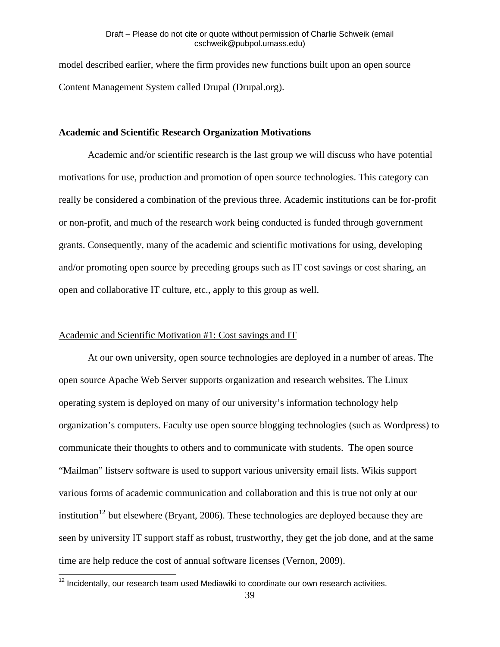model described earlier, where the firm provides new functions built upon an open source Content Management System called Drupal (Drupal.org).

#### **Academic and Scientific Research Organization Motivations**

 Academic and/or scientific research is the last group we will discuss who have potential motivations for use, production and promotion of open source technologies. This category can really be considered a combination of the previous three. Academic institutions can be for-profit or non-profit, and much of the research work being conducted is funded through government grants. Consequently, many of the academic and scientific motivations for using, developing and/or promoting open source by preceding groups such as IT cost savings or cost sharing, an open and collaborative IT culture, etc., apply to this group as well.

#### Academic and Scientific Motivation #1: Cost savings and IT

At our own university, open source technologies are deployed in a number of areas. The open source Apache Web Server supports organization and research websites. The Linux operating system is deployed on many of our university's information technology help organization's computers. Faculty use open source blogging technologies (such as Wordpress) to communicate their thoughts to others and to communicate with students. The open source "Mailman" listserv software is used to support various university email lists. Wikis support various forms of academic communication and collaboration and this is true not only at our institution<sup>[12](#page-39-0)</sup> but elsewhere (Bryant, 2006). These technologies are deployed because they are seen by university IT support staff as robust, trustworthy, they get the job done, and at the same time are help reduce the cost of annual software licenses (Vernon, 2009).

 $\overline{a}$ 

<span id="page-39-0"></span> $12$  Incidentally, our research team used Mediawiki to coordinate our own research activities.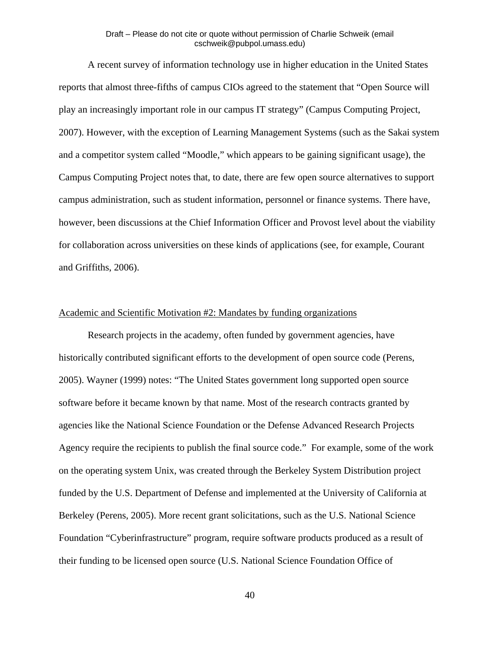A recent survey of information technology use in higher education in the United States reports that almost three-fifths of campus CIOs agreed to the statement that "Open Source will play an increasingly important role in our campus IT strategy" (Campus Computing Project, 2007). However, with the exception of Learning Management Systems (such as the Sakai system and a competitor system called "Moodle," which appears to be gaining significant usage), the Campus Computing Project notes that, to date, there are few open source alternatives to support campus administration, such as student information, personnel or finance systems. There have, however, been discussions at the Chief Information Officer and Provost level about the viability for collaboration across universities on these kinds of applications (see, for example, Courant and Griffiths, 2006).

#### Academic and Scientific Motivation #2: Mandates by funding organizations

 Research projects in the academy, often funded by government agencies, have historically contributed significant efforts to the development of open source code (Perens, 2005). Wayner (1999) notes: "The United States government long supported open source software before it became known by that name. Most of the research contracts granted by agencies like the National Science Foundation or the Defense Advanced Research Projects Agency require the recipients to publish the final source code." For example, some of the work on the operating system Unix, was created through the Berkeley System Distribution project funded by the U.S. Department of Defense and implemented at the University of California at Berkeley (Perens, 2005). More recent grant solicitations, such as the U.S. National Science Foundation "Cyberinfrastructure" program, require software products produced as a result of their funding to be licensed open source (U.S. National Science Foundation Office of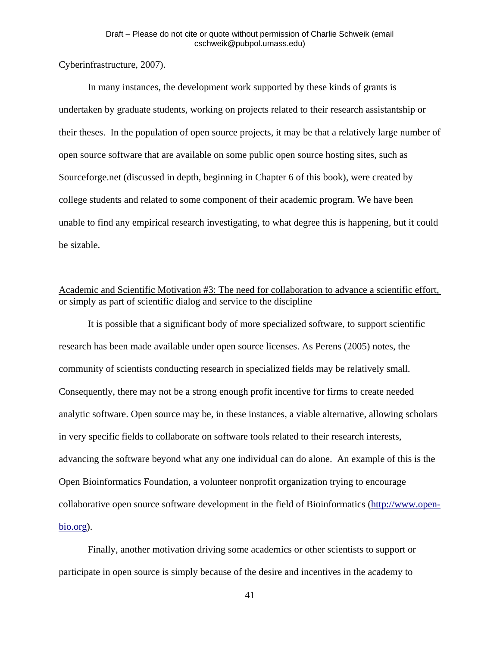# Cyberinfrastructure, 2007).

In many instances, the development work supported by these kinds of grants is undertaken by graduate students, working on projects related to their research assistantship or their theses. In the population of open source projects, it may be that a relatively large number of open source software that are available on some public open source hosting sites, such as Sourceforge.net (discussed in depth, beginning in Chapter 6 of this book), were created by college students and related to some component of their academic program. We have been unable to find any empirical research investigating, to what degree this is happening, but it could be sizable.

# Academic and Scientific Motivation #3: The need for collaboration to advance a scientific effort, or simply as part of scientific dialog and service to the discipline

 It is possible that a significant body of more specialized software, to support scientific research has been made available under open source licenses. As Perens (2005) notes, the community of scientists conducting research in specialized fields may be relatively small. Consequently, there may not be a strong enough profit incentive for firms to create needed analytic software. Open source may be, in these instances, a viable alternative, allowing scholars in very specific fields to collaborate on software tools related to their research interests, advancing the software beyond what any one individual can do alone. An example of this is the Open Bioinformatics Foundation, a volunteer nonprofit organization trying to encourage collaborative open source software development in the field of Bioinformatics [\(http://www.open](http://www.open-bio.org/)[bio.org](http://www.open-bio.org/)).

 Finally, another motivation driving some academics or other scientists to support or participate in open source is simply because of the desire and incentives in the academy to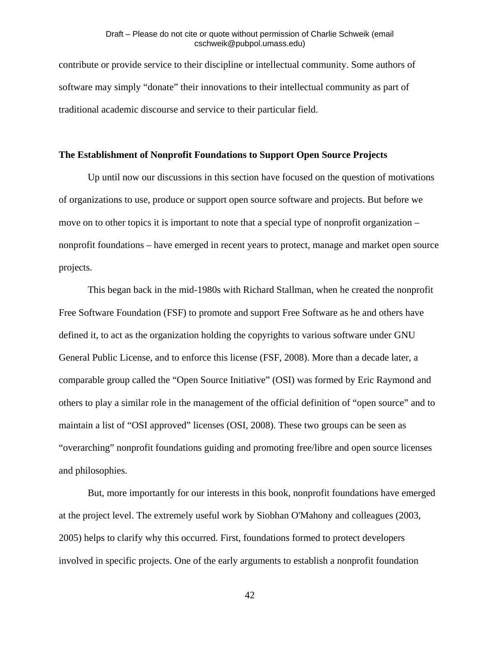contribute or provide service to their discipline or intellectual community. Some authors of software may simply "donate" their innovations to their intellectual community as part of traditional academic discourse and service to their particular field.

#### **The Establishment of Nonprofit Foundations to Support Open Source Projects**

Up until now our discussions in this section have focused on the question of motivations of organizations to use, produce or support open source software and projects. But before we move on to other topics it is important to note that a special type of nonprofit organization – nonprofit foundations – have emerged in recent years to protect, manage and market open source projects.

 This began back in the mid-1980s with Richard Stallman, when he created the nonprofit Free Software Foundation (FSF) to promote and support Free Software as he and others have defined it, to act as the organization holding the copyrights to various software under GNU General Public License, and to enforce this license (FSF, 2008). More than a decade later, a comparable group called the "Open Source Initiative" (OSI) was formed by Eric Raymond and others to play a similar role in the management of the official definition of "open source" and to maintain a list of "OSI approved" licenses (OSI, 2008). These two groups can be seen as "overarching" nonprofit foundations guiding and promoting free/libre and open source licenses and philosophies.

 But, more importantly for our interests in this book, nonprofit foundations have emerged at the project level. The extremely useful work by Siobhan O'Mahony and colleagues (2003, 2005) helps to clarify why this occurred. First, foundations formed to protect developers involved in specific projects. One of the early arguments to establish a nonprofit foundation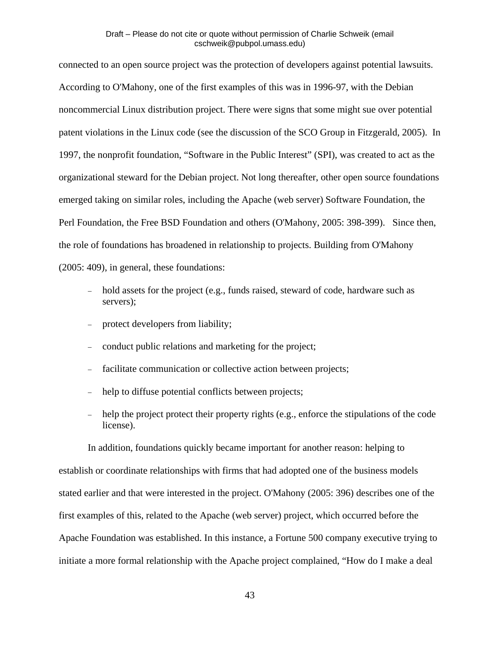connected to an open source project was the protection of developers against potential lawsuits. According to O'Mahony, one of the first examples of this was in 1996-97, with the Debian noncommercial Linux distribution project. There were signs that some might sue over potential patent violations in the Linux code (see the discussion of the SCO Group in Fitzgerald, 2005). In 1997, the nonprofit foundation, "Software in the Public Interest" (SPI), was created to act as the organizational steward for the Debian project. Not long thereafter, other open source foundations emerged taking on similar roles, including the Apache (web server) Software Foundation, the Perl Foundation, the Free BSD Foundation and others (O'Mahony, 2005: 398-399). Since then, the role of foundations has broadened in relationship to projects. Building from O'Mahony (2005: 409), in general, these foundations:

- hold assets for the project (e.g., funds raised, steward of code, hardware such as servers);
- protect developers from liability;
- conduct public relations and marketing for the project;
- facilitate communication or collective action between projects;
- help to diffuse potential conflicts between projects;
- help the project protect their property rights (e.g., enforce the stipulations of the code license).

 In addition, foundations quickly became important for another reason: helping to establish or coordinate relationships with firms that had adopted one of the business models stated earlier and that were interested in the project. O'Mahony (2005: 396) describes one of the first examples of this, related to the Apache (web server) project, which occurred before the Apache Foundation was established. In this instance, a Fortune 500 company executive trying to initiate a more formal relationship with the Apache project complained, "How do I make a deal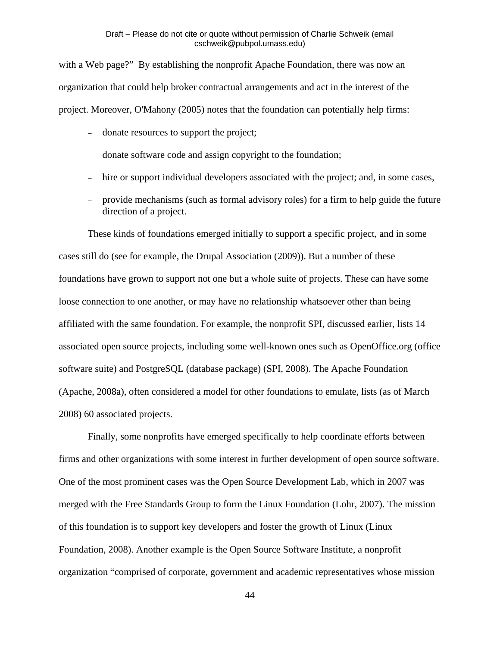with a Web page?" By establishing the nonprofit Apache Foundation, there was now an organization that could help broker contractual arrangements and act in the interest of the project. Moreover, O'Mahony (2005) notes that the foundation can potentially help firms:

- donate resources to support the project;
- donate software code and assign copyright to the foundation;
- hire or support individual developers associated with the project; and, in some cases,
- provide mechanisms (such as formal advisory roles) for a firm to help guide the future direction of a project.

 These kinds of foundations emerged initially to support a specific project, and in some cases still do (see for example, the Drupal Association (2009)). But a number of these foundations have grown to support not one but a whole suite of projects. These can have some loose connection to one another, or may have no relationship whatsoever other than being affiliated with the same foundation. For example, the nonprofit SPI, discussed earlier, lists 14 associated open source projects, including some well-known ones such as OpenOffice.org (office software suite) and PostgreSQL (database package) (SPI, 2008). The Apache Foundation (Apache, 2008a), often considered a model for other foundations to emulate, lists (as of March 2008) 60 associated projects.

 Finally, some nonprofits have emerged specifically to help coordinate efforts between firms and other organizations with some interest in further development of open source software. One of the most prominent cases was the Open Source Development Lab, which in 2007 was merged with the Free Standards Group to form the Linux Foundation (Lohr, 2007). The mission of this foundation is to support key developers and foster the growth of Linux (Linux Foundation, 2008). Another example is the Open Source Software Institute, a nonprofit organization "comprised of corporate, government and academic representatives whose mission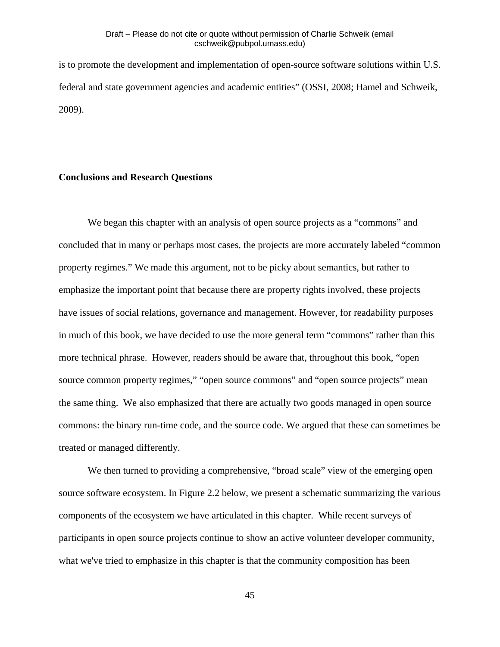is to promote the development and implementation of open-source software solutions within U.S. federal and state government agencies and academic entities" (OSSI, 2008; Hamel and Schweik, 2009).

#### **Conclusions and Research Questions**

 We began this chapter with an analysis of open source projects as a "commons" and concluded that in many or perhaps most cases, the projects are more accurately labeled "common property regimes." We made this argument, not to be picky about semantics, but rather to emphasize the important point that because there are property rights involved, these projects have issues of social relations, governance and management. However, for readability purposes in much of this book, we have decided to use the more general term "commons" rather than this more technical phrase. However, readers should be aware that, throughout this book, "open source common property regimes," "open source commons" and "open source projects" mean the same thing. We also emphasized that there are actually two goods managed in open source commons: the binary run-time code, and the source code. We argued that these can sometimes be treated or managed differently.

 We then turned to providing a comprehensive, "broad scale" view of the emerging open source software ecosystem. In Figure 2.2 below, we present a schematic summarizing the various components of the ecosystem we have articulated in this chapter. While recent surveys of participants in open source projects continue to show an active volunteer developer community, what we've tried to emphasize in this chapter is that the community composition has been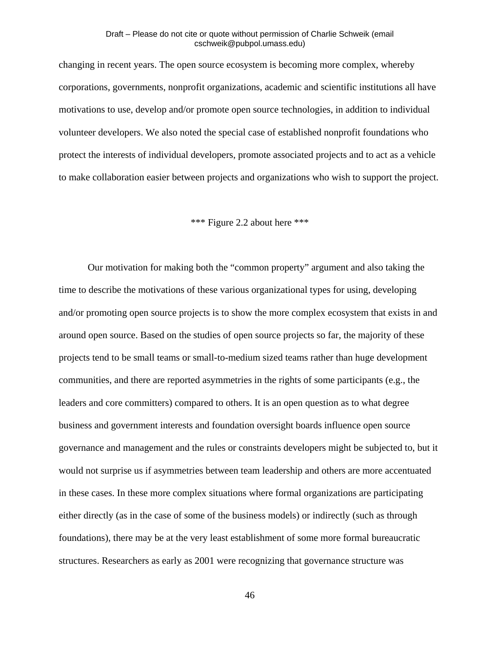changing in recent years. The open source ecosystem is becoming more complex, whereby corporations, governments, nonprofit organizations, academic and scientific institutions all have motivations to use, develop and/or promote open source technologies, in addition to individual volunteer developers. We also noted the special case of established nonprofit foundations who protect the interests of individual developers, promote associated projects and to act as a vehicle to make collaboration easier between projects and organizations who wish to support the project.

# \*\*\* Figure 2.2 about here \*\*\*

 Our motivation for making both the "common property" argument and also taking the time to describe the motivations of these various organizational types for using, developing and/or promoting open source projects is to show the more complex ecosystem that exists in and around open source. Based on the studies of open source projects so far, the majority of these projects tend to be small teams or small-to-medium sized teams rather than huge development communities, and there are reported asymmetries in the rights of some participants (e.g., the leaders and core committers) compared to others. It is an open question as to what degree business and government interests and foundation oversight boards influence open source governance and management and the rules or constraints developers might be subjected to, but it would not surprise us if asymmetries between team leadership and others are more accentuated in these cases. In these more complex situations where formal organizations are participating either directly (as in the case of some of the business models) or indirectly (such as through foundations), there may be at the very least establishment of some more formal bureaucratic structures. Researchers as early as 2001 were recognizing that governance structure was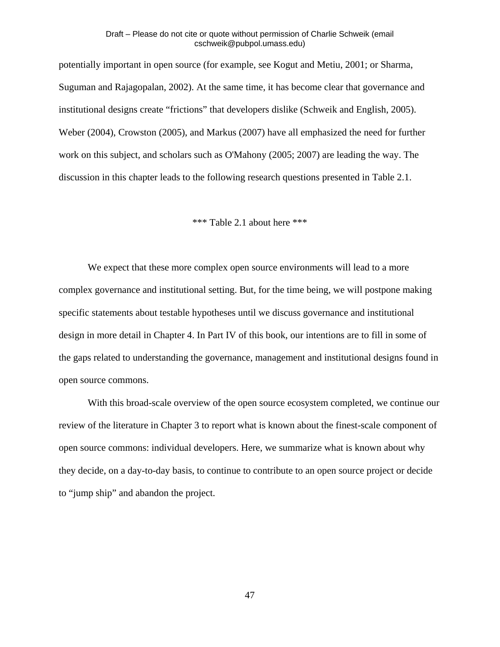potentially important in open source (for example, see Kogut and Metiu, 2001; or Sharma, Suguman and Rajagopalan, 2002). At the same time, it has become clear that governance and institutional designs create "frictions" that developers dislike (Schweik and English, 2005). Weber (2004), Crowston (2005), and Markus (2007) have all emphasized the need for further work on this subject, and scholars such as O'Mahony (2005; 2007) are leading the way. The discussion in this chapter leads to the following research questions presented in Table 2.1.

\*\*\* Table 2.1 about here \*\*\*

We expect that these more complex open source environments will lead to a more complex governance and institutional setting. But, for the time being, we will postpone making specific statements about testable hypotheses until we discuss governance and institutional design in more detail in Chapter 4. In Part IV of this book, our intentions are to fill in some of the gaps related to understanding the governance, management and institutional designs found in open source commons.

 With this broad-scale overview of the open source ecosystem completed, we continue our review of the literature in Chapter 3 to report what is known about the finest-scale component of open source commons: individual developers. Here, we summarize what is known about why they decide, on a day-to-day basis, to continue to contribute to an open source project or decide to "jump ship" and abandon the project.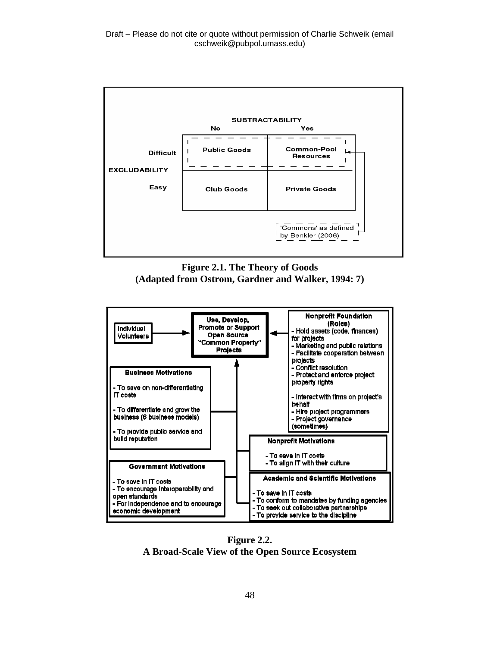

**Figure 2.1. The Theory of Goods (Adapted from Ostrom, Gardner and Walker, 1994: 7)** 



**Figure 2.2. A Broad-Scale View of the Open Source Ecosystem**